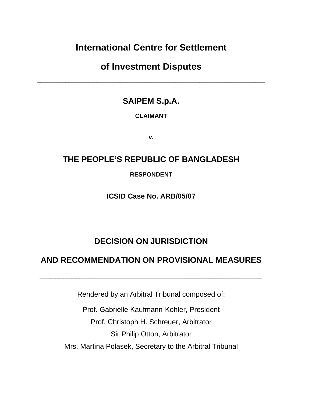# **International Centre for Settlement**

# **of Investment Disputes**

**\_\_\_\_\_\_\_\_\_\_\_\_\_\_\_\_\_\_\_\_\_\_\_\_\_\_\_\_\_\_\_\_\_\_\_\_\_\_\_\_\_\_\_\_\_\_\_\_\_\_\_\_\_\_\_\_\_\_\_\_\_\_\_\_\_\_\_\_\_\_\_\_\_** 

# **SAIPEM S.p.A.**

## **CLAIMANT**

**v.** 

# **THE PEOPLE'S REPUBLIC OF BANGLADESH**

**RESPONDENT** 

**ICSID Case No. ARB/05/07** 

# **DECISION ON JURISDICTION**

**\_\_\_\_\_\_\_\_\_\_\_\_\_\_\_\_\_\_\_\_\_\_\_\_\_\_\_\_\_\_\_\_\_\_\_\_\_\_\_\_\_\_\_\_\_\_\_\_\_\_\_\_\_\_\_\_** 

## **AND RECOMMENDATION ON PROVISIONAL MEASURES**

**\_\_\_\_\_\_\_\_\_\_\_\_\_\_\_\_\_\_\_\_\_\_\_\_\_\_\_\_\_\_\_\_\_\_\_\_\_\_\_\_\_\_\_\_\_\_\_\_\_\_\_\_\_\_\_\_** 

Rendered by an Arbitral Tribunal composed of:

Prof. Gabrielle Kaufmann-Kohler, President Prof. Christoph H. Schreuer, Arbitrator Sir Philip Otton, Arbitrator Mrs. Martina Polasek, Secretary to the Arbitral Tribunal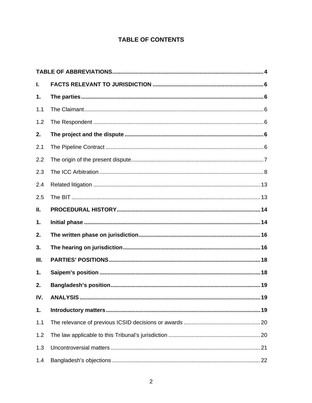## **TABLE OF CONTENTS**

| I.  |  |
|-----|--|
| 1.  |  |
| 1.1 |  |
| 1.2 |  |
| 2.  |  |
| 2.1 |  |
| 2.2 |  |
| 2.3 |  |
| 2.4 |  |
| 2.5 |  |
| Ⅱ.  |  |
| 1.  |  |
| 2.  |  |
| 3.  |  |
| Ш.  |  |
| 1.  |  |
| 2.  |  |
| IV. |  |
| 1.  |  |
| 1.1 |  |
| 1.2 |  |
| 1.3 |  |
| 1.4 |  |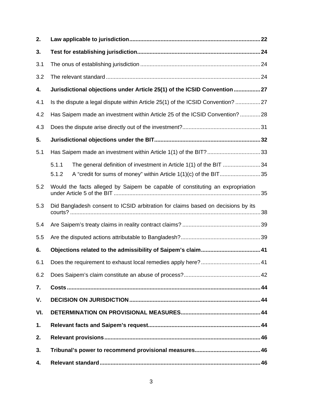| 2.  |                                                                                                                                                          |  |  |
|-----|----------------------------------------------------------------------------------------------------------------------------------------------------------|--|--|
| 3.  |                                                                                                                                                          |  |  |
| 3.1 |                                                                                                                                                          |  |  |
| 3.2 |                                                                                                                                                          |  |  |
| 4.  | Jurisdictional objections under Article 25(1) of the ICSID Convention 27                                                                                 |  |  |
| 4.1 | Is the dispute a legal dispute within Article 25(1) of the ICSID Convention?  27                                                                         |  |  |
| 4.2 | Has Saipem made an investment within Article 25 of the ICSID Convention?  28                                                                             |  |  |
| 4.3 |                                                                                                                                                          |  |  |
| 5.  |                                                                                                                                                          |  |  |
| 5.1 |                                                                                                                                                          |  |  |
|     | The general definition of investment in Article 1(1) of the BIT 34<br>5.1.1<br>A "credit for sums of money" within Article 1(1)(c) of the BIT35<br>5.1.2 |  |  |
| 5.2 | Would the facts alleged by Saipem be capable of constituting an expropriation                                                                            |  |  |
| 5.3 | Did Bangladesh consent to ICSID arbitration for claims based on decisions by its                                                                         |  |  |
| 5.4 |                                                                                                                                                          |  |  |
| 5.5 |                                                                                                                                                          |  |  |
| 6.  |                                                                                                                                                          |  |  |
| 6.1 |                                                                                                                                                          |  |  |
| 6.2 |                                                                                                                                                          |  |  |
| 7.  |                                                                                                                                                          |  |  |
| V.  |                                                                                                                                                          |  |  |
| VI. |                                                                                                                                                          |  |  |
| 1.  |                                                                                                                                                          |  |  |
| 2.  |                                                                                                                                                          |  |  |
| 3.  |                                                                                                                                                          |  |  |
| 4.  |                                                                                                                                                          |  |  |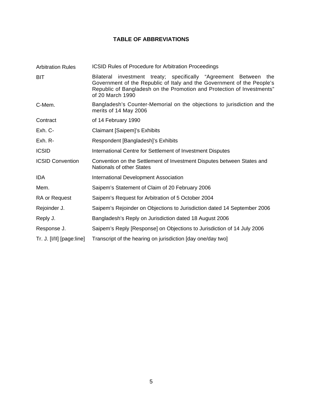## **TABLE OF ABBREVIATIONS**

| <b>Arbitration Rules</b>  | <b>ICSID Rules of Procedure for Arbitration Proceedings</b>                                                                                                                                                                                    |
|---------------------------|------------------------------------------------------------------------------------------------------------------------------------------------------------------------------------------------------------------------------------------------|
| <b>BIT</b>                | investment treaty; specifically "Agreement Between<br>Bilateral<br>the<br>Government of the Republic of Italy and the Government of the People's<br>Republic of Bangladesh on the Promotion and Protection of Investments"<br>of 20 March 1990 |
| C-Mem.                    | Bangladesh's Counter-Memorial on the objections to jurisdiction and the<br>merits of 14 May 2006                                                                                                                                               |
| Contract                  | of 14 February 1990                                                                                                                                                                                                                            |
| Exh. C-                   | Claimant [Saipem]'s Exhibits                                                                                                                                                                                                                   |
| $Exh. R-$                 | Respondent [Bangladesh]'s Exhibits                                                                                                                                                                                                             |
| <b>ICSID</b>              | International Centre for Settlement of Investment Disputes                                                                                                                                                                                     |
| <b>ICSID Convention</b>   | Convention on the Settlement of Investment Disputes between States and<br>Nationals of other States                                                                                                                                            |
| <b>IDA</b>                | International Development Association                                                                                                                                                                                                          |
| Mem.                      | Saipem's Statement of Claim of 20 February 2006                                                                                                                                                                                                |
| <b>RA or Request</b>      | Saipem's Request for Arbitration of 5 October 2004                                                                                                                                                                                             |
| Rejoinder J.              | Saipem's Rejoinder on Objections to Jurisdiction dated 14 September 2006                                                                                                                                                                       |
| Reply J.                  | Bangladesh's Reply on Jurisdiction dated 18 August 2006                                                                                                                                                                                        |
| Response J.               | Saipem's Reply [Response] on Objections to Jurisdiction of 14 July 2006                                                                                                                                                                        |
| Tr. J. [I/II] [page:line] | Transcript of the hearing on jurisdiction [day one/day two]                                                                                                                                                                                    |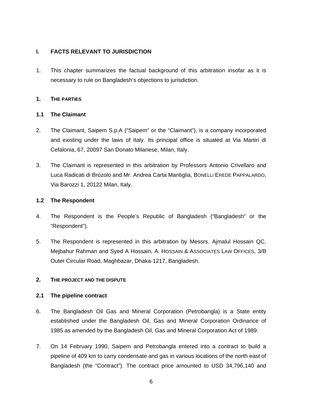## <span id="page-5-0"></span>**I. FACTS RELEVANT TO JURISDICTION**

1. This chapter summarizes the factual background of this arbitration insofar as it is necessary to rule on Bangladesh's objections to jurisdiction.

## **1. THE PARTIES**

## **1.1 The Claimant**

- 2. The Claimant, Saipem S.p.A ("Saipem" or the "Claimant"), is a company incorporated and existing under the laws of Italy. Its principal office is situated at Via Martiri di Cefalonia, 67, 20097 San Donato Milanese, Milan, Italy.
- 3. The Claimant is represented in this arbitration by Professors Antonio Crivellaro and Luca Radicati di Brozolo and Mr. Andrea Carta Mantiglia, BONELLI EREDE PAPPALARDO, Via Barozzi 1, 20122 Milan, Italy.

#### **1.2 The Respondent**

- 4. The Respondent is the People's Republic of Bangladesh ("Bangladesh" or the "Respondent").
- 5. The Respondent is represented in this arbitration by Messrs. Ajmalul Hossain QC, Mejbahur Rahman and Syed A Hossain, A. HOSSAIN & ASSOCIATES LAW OFFICES, 3/B Outer Circular Road, Maghbazar, Dhaka-1217, Bangladesh.

## **2. THE PROJECT AND THE DISPUTE**

#### **2.1 The pipeline contract**

- 6. The Bangladesh Oil Gas and Mineral Corporation (Petrobangla) is a State entity established under the Bangladesh Oil, Gas and Mineral Corporation Ordinance of 1985 as amended by the Bangladesh Oil, Gas and Mineral Corporation Act of 1989.
- 7. On 14 February 1990, Saipem and Petrobangla entered into a contract to build a pipeline of 409 km to carry condensate and gas in various locations of the north east of Bangladesh (the "Contract"). The contract price amounted to USD 34,796,140 and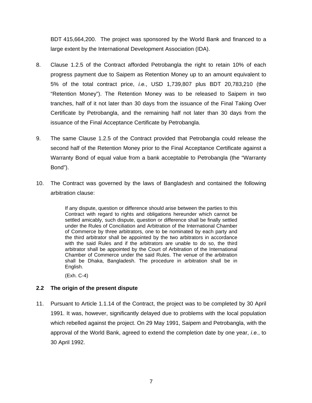<span id="page-6-0"></span>BDT 415,664,200. The project was sponsored by the World Bank and financed to a large extent by the International Development Association (IDA).

- 8. Clause 1.2.5 of the Contract afforded Petrobangla the right to retain 10% of each progress payment due to Saipem as Retention Money up to an amount equivalent to 5% of the total contract price, *i.e.*, USD 1,739,807 plus BDT 20,783,210 (the "Retention Money"). The Retention Money was to be released to Saipem in two tranches, half of it not later than 30 days from the issuance of the Final Taking Over Certificate by Petrobangla, and the remaining half not later than 30 days from the issuance of the Final Acceptance Certificate by Petrobangla.
- 9. The same Clause 1.2.5 of the Contract provided that Petrobangla could release the second half of the Retention Money prior to the Final Acceptance Certificate against a Warranty Bond of equal value from a bank acceptable to Petrobangla (the "Warranty Bond").
- 10. The Contract was governed by the laws of Bangladesh and contained the following arbitration clause:

If any dispute, question or difference should arise between the parties to this Contract with regard to rights and obligations hereunder which cannot be settled amicably, such dispute, question or difference shall be finally settled under the Rules of Conciliation and Arbitration of the International Chamber of Commerce by three arbitrators, one to be nominated by each party and the third arbitrator shall be appointed by the two arbitrators in accordance with the said Rules and if the arbitrators are unable to do so, the third arbitrator shall be appointed by the Court of Arbitration of the International Chamber of Commerce under the said Rules. The venue of the arbitration shall be Dhaka, Bangladesh. The procedure in arbitration shall be in English.

(Exh. C-4)

## **2.2 The origin of the present dispute**

11. Pursuant to Article 1.1.14 of the Contract, the project was to be completed by 30 April 1991. It was, however, significantly delayed due to problems with the local population which rebelled against the project. On 29 May 1991, Saipem and Petrobangla, with the approval of the World Bank, agreed to extend the completion date by one year, *i.e.*, to 30 April 1992.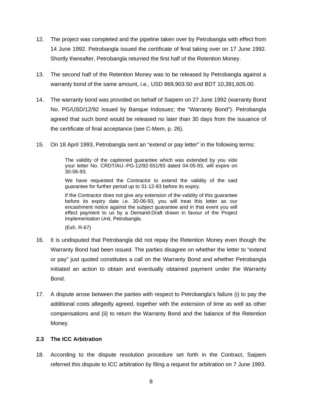- <span id="page-7-0"></span>12. The project was completed and the pipeline taken over by Petrobangla with effect from 14 June 1992. Petrobangla issued the certificate of final taking over on 17 June 1992. Shortly thereafter, Petrobangla returned the first half of the Retention Money.
- 13. The second half of the Retention Money was to be released by Petrobangla against a warranty bond of the same amount, *i.e.*, USD 869,903.50 and BDT 10,391,605.00.
- 14. The warranty bond was provided on behalf of Saipem on 27 June 1992 (warranty Bond No. PG/USD/12/92 issued by Banque Indosuez; the "Warranty Bond"). Petrobangla agreed that such bond would be released no later than 30 days from the issuance of the certificate of final acceptance (see C-Mem, p. 26).
- 15. On 18 April 1993, Petrobangla sent an "extend or pay letter" in the following terms:

The validity of the captioned guarantee which was extended by you vide your letter No. CRDT/AU.-PG-12/92-551/93 dated 04-05-93, will expire on 30-06-93.

We have requested the Contractor to extend the validity of the said guarantee for further period up to 31-12-93 before its expiry.

If the Contractor does not give any extension of the validity of this guarantee before its expiry date i.e. 30-06-93, you will treat this letter as our encashment notice against the subject guarantee and in that event you will effect payment to us by a Demand-Draft drawn in favour of the Project Implementation Unit, Petrobangla.

(Exh. R-67)

- 16. It is undisputed that Petrobangla did not repay the Retention Money even though the Warranty Bond had been issued. The parties disagree on whether the letter to "extend or pay" just quoted constitutes a call on the Warranty Bond and whether Petrobangla initiated an action to obtain and eventually obtained payment under the Warranty Bond.
- 17. A dispute arose between the parties with respect to Petrobangla's failure (i) to pay the additional costs allegedly agreed, together with the extension of time as well as other compensations and (ii) to return the Warranty Bond and the balance of the Retention Money.

## **2.3 The ICC Arbitration**

18. According to the dispute resolution procedure set forth in the Contract, Saipem referred this dispute to ICC arbitration by filing a request for arbitration on 7 June 1993.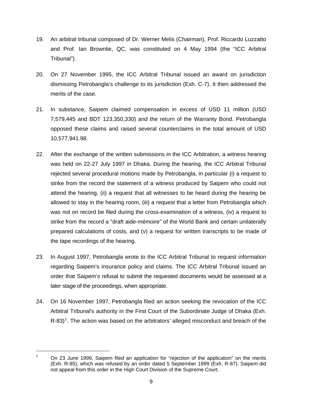- 19. An arbitral tribunal composed of Dr. Werner Melis (Chairman), Prof. Riccardo Luzzatto and Prof. Ian Brownlie, QC, was constituted on 4 May 1994 (the "ICC Arbitral Tribunal").
- 20. On 27 November 1995, the ICC Arbitral Tribunal issued an award on jurisdiction dismissing Petrobangla's challenge to its jurisdiction (Exh. C-7). It then addressed the merits of the case.
- 21. In substance, Saipem claimed compensation in excess of USD 11 million (USD 7,579,445 and BDT 123,350,330) and the return of the Warranty Bond. Petrobangla opposed these claims and raised several counterclaims in the total amount of USD 10,577,941.98.
- 22. After the exchange of the written submissions in the ICC Arbitration, a witness hearing was held on 22-27 July 1997 in Dhaka. During the hearing, the ICC Arbitral Tribunal rejected several procedural motions made by Petrobangla, in particular (i) a request to strike from the record the statement of a witness produced by Saipem who could not attend the hearing, (ii) a request that all witnesses to be heard during the hearing be allowed to stay in the hearing room, (iii) a request that a letter from Petrobangla which was not on record be filed during the cross-examination of a witness, (iv) a request to strike from the record a "draft aide-mémoire" of the World Bank and certain unilaterally prepared calculations of costs, and (v) a request for written transcripts to be made of the tape recordings of the hearing.
- 23. In August 1997, Petrobangla wrote to the ICC Arbitral Tribunal to request information regarding Saipem's insurance policy and claims. The ICC Arbitral Tribunal issued an order that Saipem's refusal to submit the requested documents would be assessed at a later stage of the proceedings, when appropriate.
- 24. On 16 November 1997, Petrobangla filed an action seeking the revocation of the ICC Arbitral Tribunal's authority in the First Court of the Subordinate Judge of Dhaka (Exh.  $R-83$ <sup>[1](#page-8-0)</sup>. The action was based on the arbitrators' alleged misconduct and breach of the

<span id="page-8-0"></span><sup>1</sup> On 23 June 1999, Saipem filed an application for "rejection of the application" on the merits (Exh. R-85), which was refused by an order dated 5 September 1999 (Exh. R-87). Saipem did not appeal from this order in the High Court Division of the Supreme Court.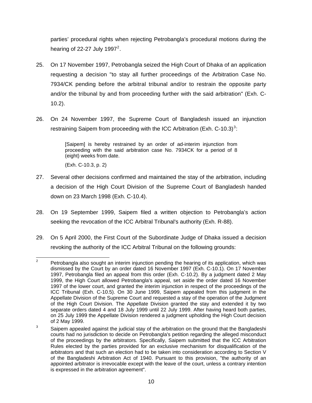parties' procedural rights when rejecting Petrobangla's procedural motions during the hearing of [2](#page-9-0)2-27 July 1997 $^2$ .

- 25. On 17 November 1997, Petrobangla seized the High Court of Dhaka of an application requesting a decision "to stay all further proceedings of the Arbitration Case No. 7934/CK pending before the arbitral tribunal and/or to restrain the opposite party and/or the tribunal by and from proceeding further with the said arbitration" (Exh. C-10.2).
- 26. On 24 November 1997, the Supreme Court of Bangladesh issued an injunction restraining Saipem from proceeding with the ICC Arbitration (Exh. C-10.[3](#page-9-1))<sup>3</sup>:

[Saipem] is hereby restrained by an order of ad-interim injunction from proceeding with the said arbitration case No. 7934CK for a period of 8 (eight) weeks from date.

(Exh. C-10.3, p. 2)

- 27. Several other decisions confirmed and maintained the stay of the arbitration, including a decision of the High Court Division of the Supreme Court of Bangladesh handed down on 23 March 1998 (Exh. C-10.4).
- 28. On 19 September 1999, Saipem filed a written objection to Petrobangla's action seeking the revocation of the ICC Arbitral Tribunal's authority (Exh. R-88).
- 29. On 5 April 2000, the First Court of the Subordinate Judge of Dhaka issued a decision revoking the authority of the ICC Arbitral Tribunal on the following grounds:

<span id="page-9-0"></span> $\frac{1}{2}$  Petrobangla also sought an interim injunction pending the hearing of its application, which was dismissed by the Court by an order dated 16 November 1997 (Exh. C-10.1). On 17 November 1997, Petrobangla filed an appeal from this order (Exh. C-10.2). By a judgment dated 2 May 1999, the High Court allowed Petrobangla's appeal, set aside the order dated 16 November 1997 of the lower court, and granted the interim injunction in respect of the proceedings of the ICC Tribunal (Exh. C-10.5). On 30 June 1999, Saipem appealed from this judgment in the Appellate Division of the Supreme Court and requested a stay of the operation of the Judgment of the High Court Division. The Appellate Division granted the stay and extended it by two separate orders dated 4 and 18 July 1999 until 22 July 1999. After having heard both parties, on 25 July 1999 the Appellate Division rendered a judgment upholding the High Court decision of 2 May 1999.

<span id="page-9-1"></span><sup>3</sup> Saipem appealed against the judicial stay of the arbitration on the ground that the Bangladeshi courts had no jurisdiction to decide on Petrobangla's petition regarding the alleged misconduct of the proceedings by the arbitrators. Specifically, Saipem submitted that the ICC Arbitration Rules elected by the parties provided for an exclusive mechanism for disqualification of the arbitrators and that such an election had to be taken into consideration according to Section V of the Bangladeshi Arbitration Act of 1940. Pursuant to this provision, "the authority of an appointed arbitrator is irrevocable except with the leave of the court, unless a contrary intention is expressed in the arbitration agreement".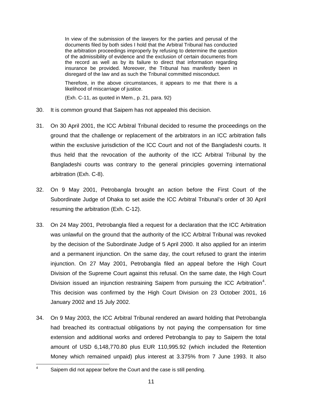In view of the submission of the lawyers for the parties and perusal of the documents filed by both sides I hold that the Arbitral Tribunal has conducted the arbitration proceedings improperly by refusing to determine the question of the admissibility of evidence and the exclusion of certain documents from the record as well as by its failure to direct that information regarding insurance be provided. Moreover, the Tribunal has manifestly been in disregard of the law and as such the Tribunal committed misconduct.

Therefore, in the above circumstances, it appears to me that there is a likelihood of miscarriage of justice.

(Exh. C-11, as quoted in Mem., p. 21, para. 92)

- 30. It is common ground that Saipem has not appealed this decision.
- 31. On 30 April 2001, the ICC Arbitral Tribunal decided to resume the proceedings on the ground that the challenge or replacement of the arbitrators in an ICC arbitration falls within the exclusive jurisdiction of the ICC Court and not of the Bangladeshi courts. It thus held that the revocation of the authority of the ICC Arbitral Tribunal by the Bangladeshi courts was contrary to the general principles governing international arbitration (Exh. C-8).
- 32. On 9 May 2001, Petrobangla brought an action before the First Court of the Subordinate Judge of Dhaka to set aside the ICC Arbitral Tribunal's order of 30 April resuming the arbitration (Exh. C-12).
- 33. On 24 May 2001, Petrobangla filed a request for a declaration that the ICC Arbitration was unlawful on the ground that the authority of the ICC Arbitral Tribunal was revoked by the decision of the Subordinate Judge of 5 April 2000. It also applied for an interim and a permanent injunction. On the same day, the court refused to grant the interim injunction. On 27 May 2001, Petrobangla filed an appeal before the High Court Division of the Supreme Court against this refusal. On the same date, the High Court Division issued an injunction restraining Saipem from pursuing the ICC Arbitration<sup>[4](#page-10-0)</sup>. This decision was confirmed by the High Court Division on 23 October 2001, 16 January 2002 and 15 July 2002.
- 34. On 9 May 2003, the ICC Arbitral Tribunal rendered an award holding that Petrobangla had breached its contractual obligations by not paying the compensation for time extension and additional works and ordered Petrobangla to pay to Saipem the total amount of USD 6,148,770.80 plus EUR 110,995.92 (which included the Retention Money which remained unpaid) plus interest at 3.375% from 7 June 1993. It also

<span id="page-10-0"></span> $\frac{1}{4}$ Saipem did not appear before the Court and the case is still pending.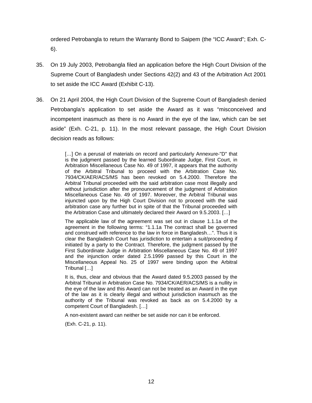ordered Petrobangla to return the Warranty Bond to Saipem (the "ICC Award"; Exh. C-6).

- 35. On 19 July 2003, Petrobangla filed an application before the High Court Division of the Supreme Court of Bangladesh under Sections 42(2) and 43 of the Arbitration Act 2001 to set aside the ICC Award (Exhibit C-13).
- 36. On 21 April 2004, the High Court Division of the Supreme Court of Bangladesh denied Petrobangla's application to set aside the Award as it was "misconceived and incompetent inasmuch as there is no Award in the eye of the law, which can be set aside" (Exh. C-21, p. 11). In the most relevant passage, the High Court Division decision reads as follows:

[...] On a perusal of materials on record and particularly Annexure-"D" that is the judgment passed by the learned Subordinate Judge, First Court, in Arbitration Miscellaneous Case No. 49 of 1997, it appears that the authority of the Arbitral Tribunal to proceed with the Arbitration Case No. 7934/CK/AER/ACS/MS has been revoked on 5.4.2000. Therefore the Arbitral Tribunal proceeded with the said arbitration case most illegally and without jurisdiction after the pronouncement of the judgment of Arbitration Miscellaneous Case No. 49 of 1997. Moreover, the Arbitral Tribunal was injuncted upon by the High Court Division not to proceed with the said arbitration case any further but in spite of that the Tribunal proceeded with the Arbitration Case and ultimately declared their Award on 9.5.2003. […]

The applicable law of the agreement was set out in clause 1.1.1a of the agreement in the following terms: "1.1.1a The contract shall be governed and construed with reference to the law in force in Bangladesh…". Thus it is clear the Bangladesh Court has jurisdiction to entertain a suit/proceeding if initiated by a party to the Contract. Therefore, the judgment passed by the First Subordinate Judge in Arbitration Miscellaneous Case No. 49 of 1997 and the injunction order dated 2.5.1999 passed by this Court in the Miscellaneous Appeal No. 25 of 1997 were binding upon the Arbitral Tribunal […]

It is, thus, clear and obvious that the Award dated 9.5.2003 passed by the Arbitral Tribunal in Arbitration Case No. 7934/CK/AER/ACS/MS is a nullity in the eye of the law and this Award can not be treated as an Award in the eye of the law as it is clearly illegal and without jurisdiction inasmuch as the authority of the Tribunal was revoked as back as on 5.4.2000 by a competent Court of Bangladesh. […]

A non-existent award can neither be set aside nor can it be enforced.

(Exh. C-21, p. 11).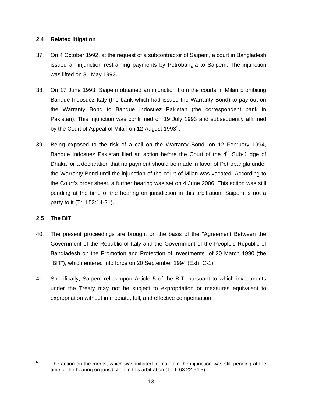## <span id="page-12-0"></span>**2.4 Related litigation**

- 37. On 4 October 1992, at the request of a subcontractor of Saipem, a court in Bangladesh issued an injunction restraining payments by Petrobangla to Saipem. The injunction was lifted on 31 May 1993.
- 38. On 17 June 1993, Saipem obtained an injunction from the courts in Milan prohibiting Banque Indosuez Italy (the bank which had issued the Warranty Bond) to pay out on the Warranty Bond to Banque Indosuez Pakistan (the correspondent bank in Pakistan). This injunction was confirmed on 19 July 1993 and subsequently affirmed by the Court of Appeal of Milan on 12 August 1993<sup>[5](#page-12-1)</sup>.
- 39. Being exposed to the risk of a call on the Warranty Bond, on 12 February 1994, Banque Indosuez Pakistan filed an action before the Court of the  $4<sup>th</sup>$  Sub-Judge of Dhaka for a declaration that no payment should be made in favor of Petrobangla under the Warranty Bond until the injunction of the court of Milan was vacated. According to the Court's order sheet, a further hearing was set on 4 June 2006. This action was still pending at the time of the hearing on jurisdiction in this arbitration. Saipem is not a party to it (Tr. I 53:14-21).

## **2.5 The BIT**

- 40. The present proceedings are brought on the basis of the "Agreement Between the Government of the Republic of Italy and the Government of the People's Republic of Bangladesh on the Promotion and Protection of Investments" of 20 March 1990 (the "BIT"), which entered into force on 20 September 1994 (Exh. C-1).
- 41. Specifically, Saipem relies upon Article 5 of the BIT, pursuant to which investments under the Treaty may not be subject to expropriation or measures equivalent to expropriation without immediate, full, and effective compensation.

<span id="page-12-1"></span><sup>—&</sup>lt;br>5 The action on the merits, which was initiated to maintain the injunction was still pending at the time of the hearing on jurisdiction in this arbitration (Tr. II 63:22-64:3).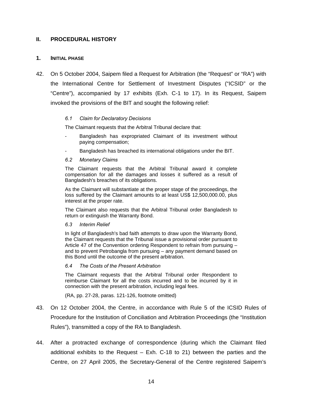## <span id="page-13-0"></span>**II. PROCEDURAL HISTORY**

### **1. INITIAL PHASE**

42. On 5 October 2004, Saipem filed a Request for Arbitration (the "Request" or "RA") with the International Centre for Settlement of Investment Disputes ("ICSID" or the "Centre"), accompanied by 17 exhibits (Exh. C-1 to 17). In its Request, Saipem invoked the provisions of the BIT and sought the following relief:

#### *6.1 Claim for Declaratory Decisions*

The Claimant requests that the Arbitral Tribunal declare that:

- Bangladesh has expropriated Claimant of its investment without paying compensation;
- Bangladesh has breached its international obligations under the BIT.

#### *6.2 Monetary Claims*

The Claimant requests that the Arbitral Tribunal award it complete compensation for all the damages and losses it suffered as a result of Bangladesh's breaches of its obligations.

As the Claimant will substantiate at the proper stage of the proceedings, the loss suffered by the Claimant amounts to at least US\$ 12,500,000.00, plus interest at the proper rate.

The Claimant also requests that the Arbitral Tribunal order Bangladesh to return or extinguish the Warranty Bond.

#### *6.3 Interim Relief*

In light of Bangladesh's bad faith attempts to draw upon the Warranty Bond, the Claimant requests that the Tribunal issue a provisional order pursuant to Article 47 of the Convention ordering Respondent to refrain from pursuing – and to prevent Petrobangla from pursuing – any payment demand based on this Bond until the outcome of the present arbitration.

#### *6.4 The Costs of the Present Arbitration*

The Claimant requests that the Arbitral Tribunal order Respondent to reimburse Claimant for all the costs incurred and to be incurred by it in connection with the present arbitration, including legal fees.

(RA, pp. 27-28, paras. 121-126, footnote omitted)

- 43. On 12 October 2004, the Centre, in accordance with Rule 5 of the ICSID Rules of Procedure for the Institution of Conciliation and Arbitration Proceedings (the "Institution Rules"), transmitted a copy of the RA to Bangladesh.
- 44. After a protracted exchange of correspondence (during which the Claimant filed additional exhibits to the Request  $-$  Exh. C-18 to 21) between the parties and the Centre, on 27 April 2005, the Secretary-General of the Centre registered Saipem's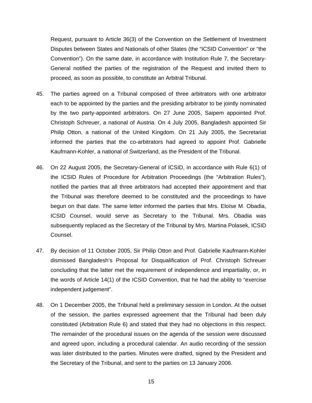Request, pursuant to Article 36(3) of the Convention on the Settlement of Investment Disputes between States and Nationals of other States (the "ICSID Convention" or "the Convention"). On the same date, in accordance with Institution Rule 7, the Secretary-General notified the parties of the registration of the Request and invited them to proceed, as soon as possible, to constitute an Arbitral Tribunal.

- 45. The parties agreed on a Tribunal composed of three arbitrators with one arbitrator each to be appointed by the parties and the presiding arbitrator to be jointly nominated by the two party-appointed arbitrators. On 27 June 2005, Saipem appointed Prof. Christoph Schreuer, a national of Austria. On 4 July 2005, Bangladesh appointed Sir Philip Otton, a national of the United Kingdom. On 21 July 2005, the Secretariat informed the parties that the co-arbitrators had agreed to appoint Prof. Gabrielle Kaufmann-Kohler, a national of Switzerland, as the President of the Tribunal.
- 46. On 22 August 2005, the Secretary-General of ICSID, in accordance with Rule 6(1) of the ICSID Rules of Procedure for Arbitration Proceedings (the "Arbitration Rules"), notified the parties that all three arbitrators had accepted their appointment and that the Tribunal was therefore deemed to be constituted and the proceedings to have begun on that date. The same letter informed the parties that Mrs. Eloïse M. Obadia, ICSID Counsel, would serve as Secretary to the Tribunal. Mrs. Obadia was subsequently replaced as the Secretary of the Tribunal by Mrs. Martina Polasek, ICSID Counsel.
- 47. By decision of 11 October 2005, Sir Philip Otton and Prof. Gabrielle Kaufmann-Kohler dismissed Bangladesh's Proposal for Disqualification of Prof. Christoph Schreuer concluding that the latter met the requirement of independence and impartiality, or, in the words of Article 14(1) of the ICSID Convention, that he had the ability to "exercise independent judgement".
- 48. On 1 December 2005, the Tribunal held a preliminary session in London. At the outset of the session, the parties expressed agreement that the Tribunal had been duly constituted (Arbitration Rule 6) and stated that they had no objections in this respect. The remainder of the procedural issues on the agenda of the session were discussed and agreed upon, including a procedural calendar. An audio recording of the session was later distributed to the parties. Minutes were drafted, signed by the President and the Secretary of the Tribunal, and sent to the parties on 13 January 2006.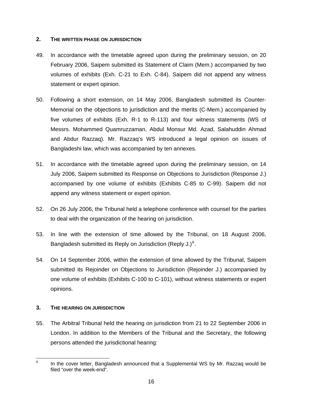## <span id="page-15-0"></span>**2. THE WRITTEN PHASE ON JURISDICTION**

- 49. In accordance with the timetable agreed upon during the preliminary session, on 20 February 2006, Saipem submitted its Statement of Claim (Mem.) accompanied by two volumes of exhibits (Exh. C-21 to Exh. C-84). Saipem did not append any witness statement or expert opinion.
- 50. Following a short extension, on 14 May 2006, Bangladesh submitted its Counter-Memorial on the objections to jurisdiction and the merits (C-Mem.) accompanied by five volumes of exhibits (Exh. R-1 to R-113) and four witness statements (WS of Messrs. Mohammed Quamruzzaman, Abdul Monsur Md. Azad, Salahuddin Ahmad and Abdur Razzaq). Mr. Razzaq's WS introduced a legal opinion on issues of Bangladeshi law, which was accompanied by ten annexes.
- 51. In accordance with the timetable agreed upon during the preliminary session, on 14 July 2006, Saipem submitted its Response on Objections to Jurisdiction (Response J.) accompanied by one volume of exhibits (Exhibits C-85 to C-99). Saipem did not append any witness statement or expert opinion.
- 52. On 26 July 2006, the Tribunal held a telephone conference with counsel for the parties to deal with the organization of the hearing on jurisdiction.
- 53. In line with the extension of time allowed by the Tribunal, on 18 August 2006, Bangladesh submitted its Reply on Jurisdiction (Reply J.) $6$ .
- 54. On 14 September 2006, within the extension of time allowed by the Tribunal, Saipem submitted its Rejoinder on Objections to Jurisdiction (Rejoinder J.) accompanied by one volume of exhibits (Exhibits C-100 to C-101), without witness statements or expert opinions.

## **3. THE HEARING ON JURISDICTION**

55. The Arbitral Tribunal held the hearing on jurisdiction from 21 to 22 September 2006 in London. In addition to the Members of the Tribunal and the Secretary, the following persons attended the jurisdictional hearing:

<span id="page-15-1"></span><sup>—&</sup>lt;br>6 In the cover letter, Bangladesh announced that a Supplemental WS by Mr. Razzaq would be filed "over the week-end".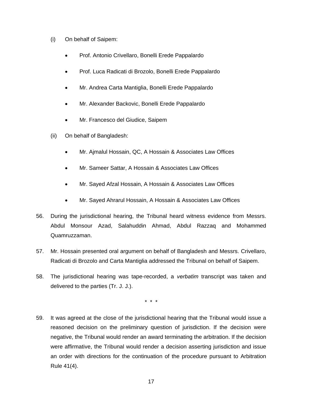- (i) On behalf of Saipem:
	- Prof. Antonio Crivellaro, Bonelli Erede Pappalardo
	- Prof. Luca Radicati di Brozolo, Bonelli Erede Pappalardo
	- Mr. Andrea Carta Mantiglia, Bonelli Erede Pappalardo
	- Mr. Alexander Backovic, Bonelli Erede Pappalardo
	- Mr. Francesco del Giudice, Saipem
- (ii) On behalf of Bangladesh:
	- Mr. Ajmalul Hossain, QC, A Hossain & Associates Law Offices
	- Mr. Sameer Sattar, A Hossain & Associates Law Offices
	- Mr. Sayed Afzal Hossain, A Hossain & Associates Law Offices
	- Mr. Sayed Ahrarul Hossain, A Hossain & Associates Law Offices
- 56. During the jurisdictional hearing, the Tribunal heard witness evidence from Messrs. Abdul Monsour Azad, Salahuddin Ahmad, Abdul Razzaq and Mohammed Quamruzzaman.
- 57. Mr. Hossain presented oral argument on behalf of Bangladesh and Messrs. Crivellaro, Radicati di Brozolo and Carta Mantiglia addressed the Tribunal on behalf of Saipem.
- 58. The jurisdictional hearing was tape-recorded, a *verbatim* transcript was taken and delivered to the parties (Tr. J. J.).

\* \* \*

59. It was agreed at the close of the jurisdictional hearing that the Tribunal would issue a reasoned decision on the preliminary question of jurisdiction. If the decision were negative, the Tribunal would render an award terminating the arbitration. If the decision were affirmative, the Tribunal would render a decision asserting jurisdiction and issue an order with directions for the continuation of the procedure pursuant to Arbitration Rule 41(4).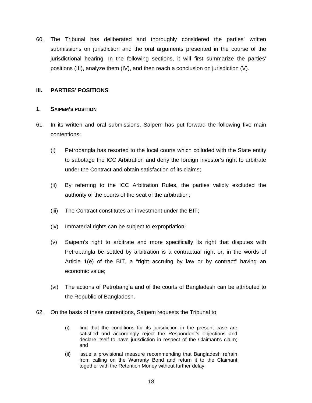<span id="page-17-0"></span>60. The Tribunal has deliberated and thoroughly considered the parties' written submissions on jurisdiction and the oral arguments presented in the course of the jurisdictional hearing. In the following sections, it will first summarize the parties' positions [\(III\)](#page-17-1), analyze them [\(IV\)](#page-18-1), and then reach a conclusion on jurisdiction (V).

## <span id="page-17-1"></span>**III. PARTIES' POSITIONS**

## **1. SAIPEM'S POSITION**

- 61. In its written and oral submissions, Saipem has put forward the following five main contentions:
	- (i) Petrobangla has resorted to the local courts which colluded with the State entity to sabotage the ICC Arbitration and deny the foreign investor's right to arbitrate under the Contract and obtain satisfaction of its claims;
	- (ii) By referring to the ICC Arbitration Rules, the parties validly excluded the authority of the courts of the seat of the arbitration;
	- (iii) The Contract constitutes an investment under the BIT;
	- (iv) Immaterial rights can be subject to expropriation;
	- (v) Saipem's right to arbitrate and more specifically its right that disputes with Petrobangla be settled by arbitration is a contractual right or, in the words of Article 1(e) of the BIT, a "right accruing by law or by contract" having an economic value;
	- (vi) The actions of Petrobangla and of the courts of Bangladesh can be attributed to the Republic of Bangladesh.
- <span id="page-17-2"></span>62. On the basis of these contentions, Saipem requests the Tribunal to:
	- (i) find that the conditions for its jurisdiction in the present case are satisfied and accordingly reject the Respondent's objections and declare itself to have jurisdiction in respect of the Claimant's claim; and
	- (ii) issue a provisional measure recommending that Bangladesh refrain from calling on the Warranty Bond and return it to the Claimant together with the Retention Money without further delay.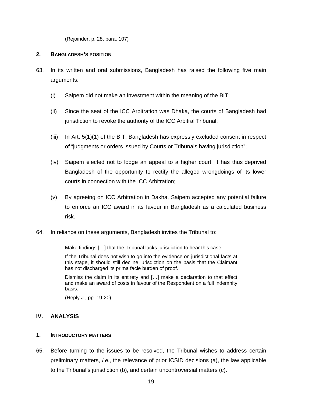(Rejoinder, p. 28, para. 107)

#### <span id="page-18-0"></span>**2. BANGLADESH'S POSITION**

- 63. In its written and oral submissions, Bangladesh has raised the following five main arguments:
	- (i) Saipem did not make an investment within the meaning of the BIT;
	- (ii) Since the seat of the ICC Arbitration was Dhaka, the courts of Bangladesh had jurisdiction to revoke the authority of the ICC Arbitral Tribunal;
	- (iii) In Art. 5(1)(1) of the BIT, Bangladesh has expressly excluded consent in respect of "judgments or orders issued by Courts or Tribunals having jurisdiction";
	- (iv) Saipem elected not to lodge an appeal to a higher court. It has thus deprived Bangladesh of the opportunity to rectify the alleged wrongdoings of its lower courts in connection with the ICC Arbitration;
	- (v) By agreeing on ICC Arbitration in Dakha, Saipem accepted any potential failure to enforce an ICC award in its favour in Bangladesh as a calculated business risk.
- 64. In reliance on these arguments, Bangladesh invites the Tribunal to:

Make findings [...] that the Tribunal lacks jurisdiction to hear this case.

If the Tribunal does not wish to go into the evidence on jurisdictional facts at this stage, it should still decline jurisdiction on the basis that the Claimant has not discharged its prima facie burden of proof.

Dismiss the claim in its entirety and […] make a declaration to that effect and make an award of costs in favour of the Respondent on a full indemnity basis.

(Reply J., pp. 19-20)

## <span id="page-18-1"></span>**IV. ANALYSIS**

#### **1. INTRODUCTORY MATTERS**

65. Before turning to the issues to be resolved, the Tribunal wishes to address certain preliminary matters, *i.e.*, the relevance of prior ICSID decisions (a), the law applicable to the Tribunal's jurisdiction (b), and certain uncontroversial matters (c).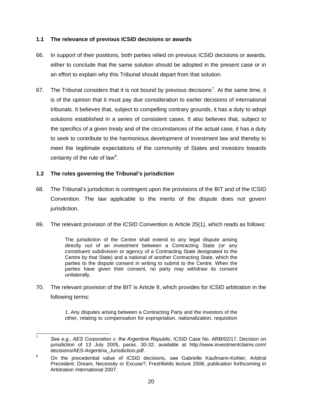## <span id="page-19-0"></span>**1.1 The relevance of previous ICSID decisions or awards**

- 66. In support of their positions, both parties relied on previous ICSID decisions or awards, either to conclude that the same solution should be adopted in the present case or in an effort to explain why this Tribunal should depart from that solution.
- 6[7](#page-19-1). The Tribunal considers that it is not bound by previous decisions<sup>7</sup>. At the same time, it is of the opinion that it must pay due consideration to earlier decisions of international tribunals. It believes that, subject to compelling contrary grounds, it has a duty to adopt solutions established in a series of consistent cases. It also believes that, subject to the specifics of a given treaty and of the circumstances of the actual case, it has a duty to seek to contribute to the harmonious development of investment law and thereby to meet the legitimate expectations of the community of States and investors towards certainty of the rule of law<sup>[8](#page-19-2)</sup>.

## **1.2 The rules governing the Tribunal's jurisdiction**

- 68. The Tribunal's jurisdiction is contingent upon the provisions of the BIT and of the ICSID Convention. The law applicable to the merits of the dispute does not govern jurisdiction.
- 69. The relevant provision of the ICSID Convention is Article 25(1), which reads as follows:

The jurisdiction of the Centre shall extend to any legal dispute arising directly out of an investment between a Contracting State (or any constituent subdivision or agency of a Contracting State designated to the Centre by that State) and a national of another Contracting State, which the parties to the dispute consent in writing to submit to the Centre. When the parties have given their consent, no party may withdraw its consent unilaterally.

70. The relevant provision of the BIT is Article 9, which provides for ICSID arbitration in the following terms:

> 1. Any disputes arising between a Contracting Party and the investors of the other, relating to compensation for expropriation, nationalization, requisition

<span id="page-19-1"></span><sup>-&</sup>lt;br>7 *See e.g.*, *AES Corporation v. the Argentine Republic*, ICSID Case No. ARB/02/17, Decision on jurisdiction of 13 July 2005, paras. 30-32; available at http://www.investmentclaims.com/ decisions/AES-Argentina\_Jurisdiction.pdf.

<span id="page-19-2"></span><sup>8</sup> On the precedential value of ICSID decisions, *see* Gabrielle Kaufmann-Kohler, Arbitral Precedent: Dream, Necessity or Excuse?, Freshfields lecture 2006, publication forthcoming in Arbitration International 2007.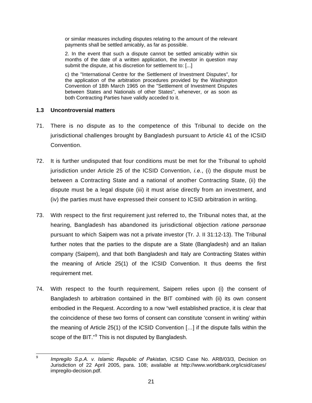<span id="page-20-0"></span>or similar measures including disputes relating to the amount of the relevant payments shall be settled amicably, as far as possible.

2. In the event that such a dispute cannot be settled amicably within six months of the date of a written application, the investor in question may submit the dispute, at his discretion for settlement to: [...]

c) the "International Centre for the Settlement of Investment Disputes", for the application of the arbitration procedures provided by the Washington Convention of 18th March 1965 on the "Settlement of Investment Disputes between States and Nationals of other States", whenever, or as soon as both Contracting Parties have validly acceded to it.

## **1.3 Uncontroversial matters**

- 71. There is no dispute as to the competence of this Tribunal to decide on the jurisdictional challenges brought by Bangladesh pursuant to Article 41 of the ICSID Convention.
- 72. It is further undisputed that four conditions must be met for the Tribunal to uphold jurisdiction under Article 25 of the ICSID Convention, *i.e.*, (i) the dispute must be between a Contracting State and a national of another Contracting State, (ii) the dispute must be a legal dispute (iii) it must arise directly from an investment, and (iv) the parties must have expressed their consent to ICSID arbitration in writing.
- 73. With respect to the first requirement just referred to, the Tribunal notes that, at the hearing, Bangladesh has abandoned its jurisdictional objection *ratione personae*  pursuant to which Saipem was not a private investor (Tr. J. II 31:12-13). The Tribunal further notes that the parties to the dispute are a State (Bangladesh) and an Italian company (Saipem), and that both Bangladesh and Italy are Contracting States within the meaning of Article 25(1) of the ICSID Convention. It thus deems the first requirement met.
- 74. With respect to the fourth requirement, Saipem relies upon (i) the consent of Bangladesh to arbitration contained in the BIT combined with (ii) its own consent embodied in the Request. According to a now "well established practice, it is clear that the coincidence of these two forms of consent can constitute 'consent in writing' within the meaning of Article 25(1) of the ICSID Convention […] if the dispute falls within the scope of the BIT."<sup>[9](#page-20-1)</sup> This is not disputed by Bangladesh.

<span id="page-20-1"></span> 9 *Impregilo S.p.A. v. Islamic Republic of Pakistan, ICSID Case No. ARB/03/3, Decision on* Jurisdiction of 22 April 2005, para. 108; available at http://www.worldbank.org/icsid/cases/ impregilo-decision.pdf.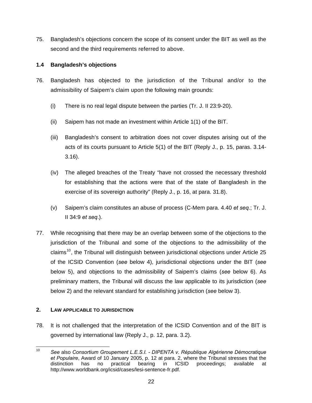<span id="page-21-0"></span>75. Bangladesh's objections concern the scope of its consent under the BIT as well as the second and the third requirements referred to above.

## **1.4 Bangladesh's objections**

- 76. Bangladesh has objected to the jurisdiction of the Tribunal and/or to the admissibility of Saipem's claim upon the following main grounds:
	- (i) There is no real legal dispute between the parties (Tr. J. II 23:9-20).
	- (ii) Saipem has not made an investment within Article 1(1) of the BIT.
	- (iii) Bangladesh's consent to arbitration does not cover disputes arising out of the acts of its courts pursuant to Article 5(1) of the BIT (Reply J., p. 15, paras. 3.14- 3.16).
	- (iv) The alleged breaches of the Treaty "have not crossed the necessary threshold for establishing that the actions were that of the state of Bangladesh in the exercise of its sovereign authority" (Reply J., p. 16, at para. 31.8).
	- (v) Saipem's claim constitutes an abuse of process (C-Mem para. 4.40 *et seq.*; Tr. J. II 34:9 *et seq*.).
- 77. While recognising that there may be an overlap between some of the objections to the jurisdiction of the Tribunal and some of the objections to the admissibility of the claims<sup>[10](#page-21-1)</sup>, the Tribunal will distinguish between jurisdictional objections under Article 25 of the ICSID Convention (*see* below 4), jurisdictional objections under the BIT (*see* below 5), and objections to the admissibility of Saipem's claims (*see* below 6). As preliminary matters, the Tribunal will discuss the law applicable to its jurisdiction (*see* below 2) and the relevant standard for establishing jurisdiction (*see* below 3).

## **2. LAW APPLICABLE TO JURISDICTION**

78. It is not challenged that the interpretation of the ICSID Convention and of the BIT is governed by international law (Reply J., p. 12, para. 3.2).

<span id="page-21-1"></span><sup>10</sup> 10 *See* also *Consortium Groupement L.E.S.I. - DIPENTA v. République Algérienne Démocratique et Populaire*, Award of 10 January 2005, p. 12 at para. 2, where the Tribunal stresses that the distinction has no practical bearing in ICSID proceedings; available at http://www.worldbank.org/icsid/cases/lesi-sentence-fr.pdf.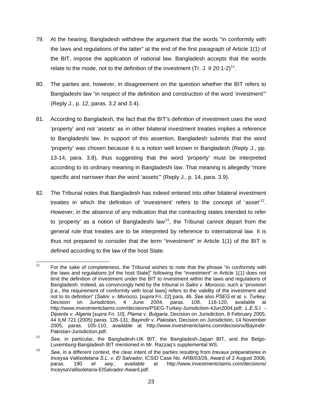- 79. At the hearing, Bangladesh withdrew the argument that the words "in conformity with the laws and regulations of the latter" at the end of the first paragraph of Article 1(1) of the BIT, impose the application of national law. Bangladesh accepts that the words relate to the mode, not to the definition of the investment (Tr. J. II 20:1-2)<sup>[11](#page-22-0)</sup>.
- 80. The parties are, however, in disagreement on the question whether the BIT refers to Bangladeshi law "in respect of the definition and construction of the word 'investment'" (Reply J., p. 12, paras. 3.2 and 3.4).
- <span id="page-22-3"></span>81. According to Bangladesh, the fact that the BIT's definition of investment uses the word 'property' and not 'assets' as in other bilateral investment treaties implies a reference to Bangladeshi law. In support of this assertion, Bangladesh submits that the word 'property' was chosen because it is a notion well known in Bangladesh (Reply J., pp. 13-14, para. 3.8), thus suggesting that the word 'property' must be interpreted according to its ordinary meaning in Bangladeshi law. That meaning is allegedly "more specific and narrower than the word 'assets'" (Reply J., p. 14, para. 3.9).
- 82. The Tribunal notes that Bangladesh has indeed entered into other bilateral investment treaties in which the definition of 'investment' refers to the concept of 'asset'<sup>[12](#page-22-1)</sup>. However, in the absence of any indication that the contracting states intended to refer to 'property' as a notion of Bangladeshi law<sup>[13](#page-22-2)</sup>, the Tribunal cannot depart from the general rule that treaties are to be interpreted by reference to international law. It is thus not prepared to consider that the term "investment" in Article 1(1) of the BIT is defined according to the law of the host State.

<span id="page-22-0"></span> $11$ 11 For the sake of completeness, the Tribunal wishes to note that the phrase "in conformity with the laws and regulations [of the host State]" following the "investment" in Article 1(1) does not limit the definition of investment under the BIT to investment within the laws and regulations of Bangladesh. Indeed, as convincingly held by the tribunal in *Salini v. Morocco*, such a "provision [*i.e.*, the requirement of conformity with local laws] refers to the validity of the investment and not to its definition" (*Salini. v. Morocco*, [*supra* Fn. 22] para. 46. *See* also *PSEG* et al. *v. Turkey*, Decision on Jurisdiction, 4 June 2004, paras. 109, 116-120, available at http://www.investmentclaims.com/decisions/PSEG-Turkey-Jurisdiction-4Jun2004.pdf; *L.E.S.I. - Dipenta v. Algeria* [*supra* Fn. 10]; *Plama v. Bulgaria*, Decision on Jurisdiction, 8 February 2005, 44 ILM 721 (2005) paras. 126-131; *Bayindir v. Pakistan*, Decision on Jurisdiction, 14 November 2005, paras. 105-110, available at http://www.investmentclaims.com/decisions/Bayindir-Pakistan-Jurisdiction.pdf.

<span id="page-22-1"></span><sup>12</sup> *See*, in particular, the Bangladesh-UK BIT, the Bangladesh-Japan BIT, and the Belgo-Luxemburg-Bangladesh BIT mentioned in Mr. Razzaq's supplemental WS.

<span id="page-22-2"></span><sup>13</sup> *See*, in a different context, the clear intent of the parties resulting from *travaux préparatoires* in *Inceysa Vallisoletana S.L. v. El Salvador*, ICSID Case No. ARB/03/26, Award of 2 August 2006, paras. 190 *et seq.*; available at http://www.investmentclaims.com/decisions/ InceysaVallisoletana-ElSalvador-Award.pdf.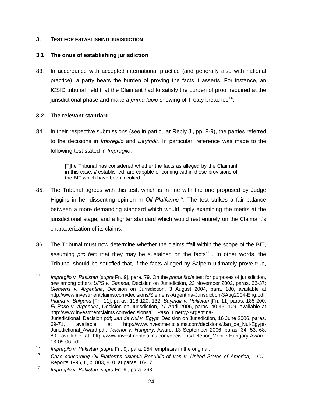## <span id="page-23-0"></span>**3. TEST FOR ESTABLISHING JURISDICTION**

### **3.1 The onus of establishing jurisdiction**

83. In accordance with accepted international practice (and generally also with national practice), a party bears the burden of proving the facts it asserts. For instance, an ICSID tribunal held that the Claimant had to satisfy the burden of proof required at the jurisdictional phase and make a *prima facie* showing of Treaty breaches<sup>[14](#page-23-1)</sup>.

## **3.2 The relevant standard**

<span id="page-23-5"></span>84. In their respective submissions (*see* in particular Reply J., pp. 8-9), the parties referred to the decisions in *Impregilo* and *Bayindir*. In particular, reference was made to the following test stated in *Impregilo*:

> [T]he Tribunal has considered whether the facts as alleged by the Claimant in this case, *if* established, are capable of coming within those provisions of the BIT which have been invoked. $1$

- 85. The Tribunal agrees with this test, which is in line with the one proposed by Judge Higgins in her dissenting opinion in *Oil Platforms*[16](#page-23-3). The test strikes a fair balance between a more demanding standard which would imply examining the merits at the jurisdictional stage, and a lighter standard which would rest entirely on the Claimant's characterization of its claims.
- 86. The Tribunal must now determine whether the claims "fall within the scope of the BIT, assuming *pro tem* that they may be sustained on the facts"[17](#page-23-4). In other words, the Tribunal should be satisfied that, if the facts alleged by Saipem ultimately prove true,

<span id="page-23-1"></span> $14$ *Impregilo v. Pakistan* [*supra* Fn. 9], para. 79. On the *prima facie* test for purposes of jurisdiction, *see* among others *UPS v. Canada*, Decision on Jurisdiction, 22 November 2002, paras. 33-37; *Siemens v. Argentina*, Decision on Jurisdiction, 3 August 2004, para. 180, available at http://www.investmentclaims.com/decisions/Siemens-Argentina-Jurisdiction-3Aug2004-Eng.pdf; *Plama v. Bulgaria* [Fn. 11], paras. 118-120, 132; *Bayindir v. Pakistan* [Fn. 11] paras. 185-200; *El Paso v. Argentina*, Decision on Jurisdiction, 27 April 2006, paras. 40-45, 109, available at http://www.investmentclaims.com/decisions/El\_Paso\_Energy-Argentina-Jurisdictional\_Decision.pdf; *Jan de Nul v. Egypt*, Decision on Jurisdiction, 16 June 2006, paras. 69-71, available at http://www.investmentclaims.com/decisions/Jan\_de\_Nul-Egypt-Jurisdictional\_Award.pdf; *Telenor v. Hungary*, Award, 13 September 2006, paras. 34, 53, 68, 80, available at http://www.investmentclaims.com/decisions/Telenor\_Mobile-Hungary-Award-13-09-06.pdf.

<span id="page-23-2"></span><sup>15</sup> *Impregilo v. Pakistan* [*supra* Fn. 9], para. 254, emphasis in the original.

<span id="page-23-3"></span><sup>16</sup> *Case concerning Oil Platforms (Islamic Republic of Iran v. United States of America)*, I.C.J. Reports 1996, II, p. 803, 810, at paras. 16-17.

<span id="page-23-4"></span><sup>17</sup> *Impregilo v. Pakistan* [*supra* Fn. 9], para. 263.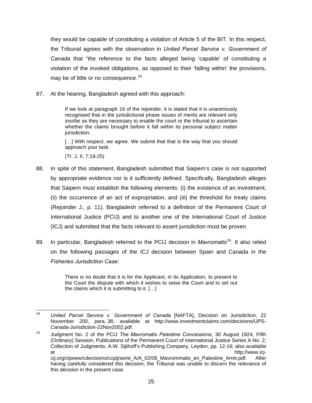they would be capable of constituting a violation of Article 5 of the BIT. In this respect, the Tribunal agrees with the observation in *United Parcel Service v. Government of Canada* that "the reference to the facts alleged being 'capable' of constituting a violation of the invoked obligations, as opposed to their 'falling within' the provisions, may be of little or no consequence.<sup>[18](#page-24-0)</sup>

87. At the hearing, Bangladesh agreed with this approach:

If we look at paragraph 16 of the rejoinder, it is stated that it is unanimously recognised that in the jurisdictional phase issues of merits are relevant only insofar as they are necessary to enable the court or the tribunal to ascertain whether the claims brought before it fall within its personal subject matter jurisdiction.

[...] With respect, we agree. We submit that that is the way that you should approach your task.

(Tr. J. II, 7:18-25)

- 88. In spite of this statement, Bangladesh submitted that Saipem's case is not supported by appropriate evidence nor is it sufficiently defined. Specifically, Bangladesh alleges that Saipem must establish the following elements: (i) the existence of an investment, (ii) the occurrence of an act of expropriation, and (iii) the threshold for treaty claims (Rejoinder J., p. 11). Bangladesh referred to a definition of the Permanent Court of International Justice (PCIJ) and to another one of the International Court of Justice (ICJ) and submitted that the facts relevant to assert jurisdiction must be proven.
- 89. In particular, Bangladesh referred to the PCIJ decision in *Mavromatis*[19](#page-24-1). It also relied on the following passages of the ICJ decision between Spain and Canada in the *Fisheries Jurisdiction Case*:

There is no doubt that it is for the Applicant, in its Application, to present to the Court the dispute with which it wishes to seise the Court and to set out the claims which it is submitting to it. […]

<span id="page-24-0"></span><sup>18</sup> 18 *United Parcel Service v. Government of Canada* [NAFTA], Decision on Jurisdiction, 22 November 200, para. 36; available at http://www.investmentclaims.com/decisions/UPS-Canada-Jurisdiction-22Nov2002.pdf.

<span id="page-24-1"></span><sup>19</sup> Judgment No. 2 of the PCIJ *The Mavromatis Palestine Concessions*, 30 August 1924, Fifth (Ordinary) Session, Publications of the Permanent Court of International Justice Series A No. 2; Collection of Judgments, A.W. Sijthoff's Publishing Company, Leyden, pp. 12-16; also available at http://www.icjcij.org/cijwww/cdecisions/ccpij/serie\_A/A\_02/06\_Mavrommatis\_en\_Palestine\_Arret.pdf. After

having carefully considered this decision, the Tribunal was unable to discern the relevance of this decision in the present case.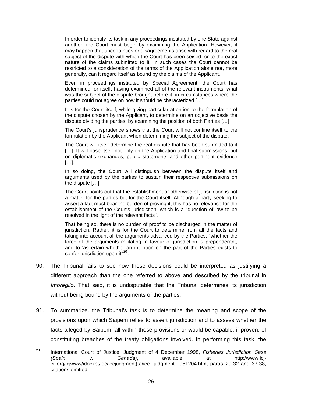In order to identify its task in any proceedings instituted by one State against another, the Court must begin by examining the Application. However, it may happen that uncertainties or disagreements arise with regard to the real subject of the dispute with which the Court has been seised, or to the exact nature of the claims submitted to it. In such cases the Court cannot be restricted to a consideration of the terms of the Application alone nor, more generally, can it regard itself as bound by the claims of the Applicant.

Even in proceedings instituted by Special Agreement, the Court has determined for itself, having examined all of the relevant instruments, what was the subject of the dispute brought before it, in circumstances where the parties could not agree on how it should be characterized […].

It is for the Court itself, while giving particular attention to the formulation of the dispute chosen by the Applicant, to determine on an objective basis the dispute dividing the parties, by examining the position of both Parties […]

The Court's jurisprudence shows that the Court will not confine itself to the formulation by the Applicant when determining the subject of the dispute.

The Court will itself determine the real dispute that has been submitted to it [...]. It will base itself not only on the Application and final submissions, but on diplomatic exchanges, public statements and other pertinent evidence […].

In so doing, the Court will distinguish between the dispute itself and arguments used by the parties to sustain their respective submissions on the dispute […].

The Court points out that the establishment or otherwise of jurisdiction is not a matter for the parties but for the Court itself. Although a party seeking to assert a fact must bear the burden of proving it, this has no relevance for the establishment of the Court's jurisdiction, which is a "question of law to be resolved in the light of the relevant facts".

That being so, there is no burden of proof to be discharged in the matter of jurisdiction. Rather, it is for the Court to determine from all the facts and taking into account all the arguments advanced by the Parties, "whether the force of the arguments militating in favour of jurisdiction is preponderant, and to 'ascertain whether an intention on the part of the Parties exists to confer jurisdiction upon it"<sup>[20](#page-25-0)</sup>.

- 90. The Tribunal fails to see how these decisions could be interpreted as justifying a different approach than the one referred to above and described by the tribunal in *Impregilo*. That said, it is undisputable that the Tribunal determines its jurisdiction without being bound by the arguments of the parties.
- 91. To summarize, the Tribunal's task is to determine the meaning and scope of the provisions upon which Saipem relies to assert jurisdiction and to assess whether the facts alleged by Saipem fall within those provisions or would be capable, if proven, of constituting breaches of the treaty obligations involved. In performing this task, the

<span id="page-25-0"></span><sup>20</sup> 20 International Court of Justice, Judgment of 4 December 1998, *Fisheries Jurisdiction Case (Spain v. Canada)*, available at http://www.icjcij.org/icjwww/idocket/iec/iecjudgment(s)/iec\_ijudgment\_ 981204.htm, paras. 29-32 and 37-38, citations omitted.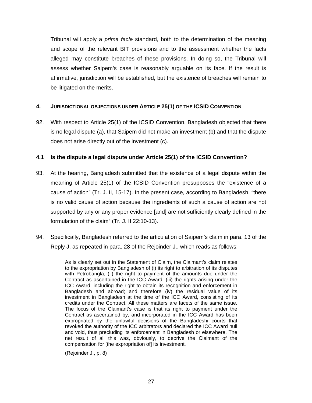<span id="page-26-0"></span>Tribunal will apply a *prima facie* standard, both to the determination of the meaning and scope of the relevant BIT provisions and to the assessment whether the facts alleged may constitute breaches of these provisions. In doing so, the Tribunal will assess whether Saipem's case is reasonably arguable on its face. If the result is affirmative, jurisdiction will be established, but the existence of breaches will remain to be litigated on the merits.

## **4. JURISDICTIONAL OBJECTIONS UNDER ARTICLE 25(1) OF THE ICSID CONVENTION**

92. With respect to Article 25(1) of the ICSID Convention, Bangladesh objected that there is no legal dispute (a), that Saipem did not make an investment (b) and that the dispute does not arise directly out of the investment (c).

### **4.1 Is the dispute a legal dispute under Article 25(1) of the ICSID Convention?**

- 93. At the hearing, Bangladesh submitted that the existence of a legal dispute within the meaning of Article 25(1) of the ICSID Convention presupposes the "existence of a cause of action" (Tr. J. II, 15-17). In the present case, according to Bangladesh, "there is no valid cause of action because the ingredients of such a cause of action are not supported by any or any proper evidence [and] are not sufficiently clearly defined in the formulation of the claim" (Tr. J. II 22:10-13).
- 94. Specifically, Bangladesh referred to the articulation of Saipem's claim in para. 13 of the Reply J. as repeated in para. 28 of the Rejoinder J., which reads as follows:

As is clearly set out in the Statement of Claim, the Claimant's claim relates to the expropriation by Bangladesh of (i) its right to arbitration of its disputes with Petrobangla; (ii) the right to payment of the amounts due under the Contract as ascertained in the ICC Award; (iii) the rights arising under the ICC Award, including the right to obtain its recognition and enforcement in Bangladesh and abroad; and therefore (iv) the residual value of its investment in Bangladesh at the time of the ICC Award, consisting of its credits under the Contract. All these matters are facets of the same issue. The focus of the Claimant's case is that its right to payment under the Contract as ascertained by, and incorporated in the ICC Award has been expropriated by the unlawful decisions of the Bangladeshi courts that revoked the authority of the ICC arbitrators and declared the ICC Award null and void, thus precluding its enforcement in Bangladesh or elsewhere. The net result of all this was, obviously, to deprive the Claimant of the compensation for [the expropriation of] its investment.

(Rejoinder J., p. 8)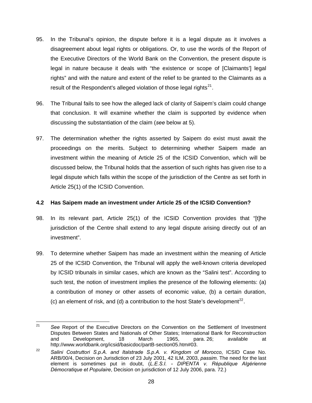- <span id="page-27-0"></span>95. In the Tribunal's opinion, the dispute before it is a legal dispute as it involves a disagreement about legal rights or obligations. Or, to use the words of the Report of the Executive Directors of the World Bank on the Convention, the present dispute is legal in nature because it deals with "the existence or scope of [Claimants'] legal rights" and with the nature and extent of the relief to be granted to the Claimants as a result of the Respondent's alleged violation of those legal rights $^{21}$  $^{21}$  $^{21}$ .
- 96. The Tribunal fails to see how the alleged lack of clarity of Saipem's claim could change that conclusion. It will examine whether the claim is supported by evidence when discussing the substantiation of the claim (*see* below at 5).
- 97. The determination whether the rights asserted by Saipem do exist must await the proceedings on the merits. Subject to determining whether Saipem made an investment within the meaning of Article 25 of the ICSID Convention, which will be discussed below, the Tribunal holds that the assertion of such rights has given rise to a legal dispute which falls within the scope of the jurisdiction of the Centre as set forth in Article 25(1) of the ICSID Convention.

## **4.2 Has Saipem made an investment under Article 25 of the ICSID Convention?**

- 98. In its relevant part, Article 25(1) of the ICSID Convention provides that "[t]he jurisdiction of the Centre shall extend to any legal dispute arising directly out of an investment".
- 99. To determine whether Saipem has made an investment within the meaning of Article 25 of the ICSID Convention, the Tribunal will apply the well-known criteria developed by ICSID tribunals in similar cases, which are known as the "Salini test". According to such test, the notion of investment implies the presence of the following elements: (a) a contribution of money or other assets of economic value, (b) a certain duration, (c) an element of risk, and (d) a contribution to the host State's development<sup>[22](#page-27-2)</sup>.

<span id="page-27-1"></span> $21$ 21 *See* Report of the Executive Directors on the Convention on the Settlement of Investment Disputes Between States and Nationals of Other States; International Bank for Reconstruction and Development, 18 March 1965, para. 26; available at http://www.worldbank.org/icsid/basicdoc/partB-section05.htm#03.

<span id="page-27-2"></span><sup>22</sup> *Salini Costruttori S.p.A. and Italstrade S.p.A. v. Kingdom of Morocco*, ICSID Case No. ARB/00/4, Decision on Jurisdiction of 23 July 2001, 42 ILM, 2003, *passim*. The need for the last element is sometimes put in doubt, (*L.E.S.I. - DIPENTA v. République Algérienne Démocratique et Populaire*, Decision on jurisdiction of 12 July 2006, para. 72.)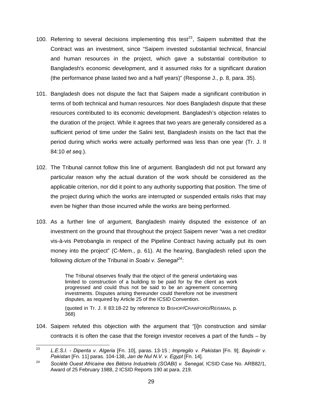- 100. Referring to several decisions implementing this test<sup>[23](#page-28-0)</sup>, Saipem submitted that the Contract was an investment, since "Saipem invested substantial technical, financial and human resources in the project, which gave a substantial contribution to Bangladesh's economic development, and it assumed risks for a significant duration (the performance phase lasted two and a half years)" (Response J., p. 8, para. 35).
- 101. Bangladesh does not dispute the fact that Saipem made a significant contribution in terms of both technical and human resources. Nor does Bangladesh dispute that these resources contributed to its economic development. Bangladesh's objection relates to the duration of the project. While it agrees that two years are generally considered as a sufficient period of time under the Salini test, Bangladesh insists on the fact that the period during which works were actually performed was less than one year (Tr. J. II 84:10 *et seq.*).
- 102. The Tribunal cannot follow this line of argument. Bangladesh did not put forward any particular reason why the actual duration of the work should be considered as the applicable criterion, nor did it point to any authority supporting that position. The time of the project during which the works are interrupted or suspended entails risks that may even be higher than those incurred while the works are being performed.
- 103. As a further line of argument, Bangladesh mainly disputed the existence of an investment on the ground that throughout the project Saipem never "was a net creditor vis-à-vis Petrobangla in respect of the Pipeline Contract having actually put its own money into the project" (C-Mem., p. 61). At the hearing, Bangladesh relied upon the following *dictum* of the Tribunal in *Soabi v. Senegal[24](#page-28-1)*:

The Tribunal observes finally that the object of the general undertaking was limited to construction of a building to be paid for by the client as work progressed and could thus not be said to be an agreement concerning investments. Disputes arising thereunder could therefore not be investment disputes, as required by Article 25 of the ICSID Convention.

(quoted in Tr. J. II 83:18-22 by reference to BISHOP/CRAWFORD/REISMAN, p. 368)

104. Saipem refuted this objection with the argument that "[i]n construction and similar contracts it is often the case that the foreign investor receives a part of the funds – by

<span id="page-28-0"></span><sup>23</sup> 23 *L.E.S.I. - Dipenta v. Algeria* [Fn. 10], paras. 13-15 ; *Impregilo v. Pakistan* [Fn. 9]; *Bayindir v. Pakistan* [Fn. 11] paras. 104-138, *Jan de Nul N.V. v. Egypt* [Fn. 14].

<span id="page-28-1"></span><sup>24</sup> *Société Ouest Africaine des Bétons Industriels (SOABI) v. Senegal*, ICSID Case No. ARB82/1, Award of 25 February 1988, 2 ICSID Reports 190 at para. 219.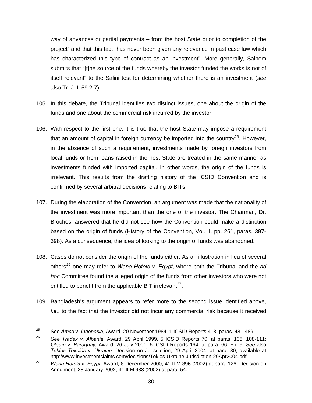way of advances or partial payments – from the host State prior to completion of the project" and that this fact "has never been given any relevance in past case law which has characterized this type of contract as an investment". More generally, Saipem submits that "[t]he source of the funds whereby the investor funded the works is not of itself relevant" to the Salini test for determining whether there is an investment (*see* also Tr. J. II 59:2-7).

- 105. In this debate, the Tribunal identifies two distinct issues, one about the origin of the funds and one about the commercial risk incurred by the investor.
- 106. With respect to the first one, it is true that the host State may impose a requirement that an amount of capital in foreign currency be imported into the country<sup>[25](#page-29-0)</sup>. However, in the absence of such a requirement, investments made by foreign investors from local funds or from loans raised in the host State are treated in the same manner as investments funded with imported capital. In other words, the origin of the funds is irrelevant. This results from the drafting history of the ICSID Convention and is confirmed by several arbitral decisions relating to BITs.
- 107. During the elaboration of the Convention, an argument was made that the nationality of the investment was more important than the one of the investor. The Chairman, Dr. Broches, answered that he did not see how the Convention could make a distinction based on the origin of funds (History of the Convention, Vol. II, pp. 261, paras. 397- 398). As a consequence, the idea of looking to the origin of funds was abandoned.
- 108. Cases do not consider the origin of the funds either. As an illustration in lieu of several others<sup>[26](#page-29-1)</sup> one may refer to *Wena Hotels v. Eqypt*, where both the Tribunal and the *ad hoc* Committee found the alleged origin of the funds from other investors who were not entitled to benefit from the applicable BIT irrelevant<sup>[27](#page-29-2)</sup>.
- 109. Bangladesh's argument appears to refer more to the second issue identified above, *i.e.*, to the fact that the investor did not incur any commercial risk because it received

<span id="page-29-0"></span><sup>25</sup> 25 See *Amco* v. *Indonesia*, Award, 20 November 1984, 1 ICSID Reports 413, paras. 481-489.

<span id="page-29-1"></span><sup>26</sup> *See Tradex v. Albania*, Award, 29 April 1999, 5 ICSID Reports 70, at paras. 105, 108-111; *Olguín* v. *Paraguay,* Award, 26 July 2001, 6 ICSID Reports 164, at para. 66, Fn. 9. *See* also *Tokios Tokelės* v. *Ukraine,* Decision on Jurisdiction, 29 April 2004, at para. 80, available at http://www.investmentclaims.com/decisions/Tokios-Ukraine-Jurisdiction-29Apr2004.pdf.

<span id="page-29-2"></span><sup>27</sup> *Wena Hotels v. Egypt*, Award, 8 December 2000, 41 ILM 896 (2002) at para. 126, Decision on Annulment, 28 January 2002, 41 ILM 933 (2002) at para. 54.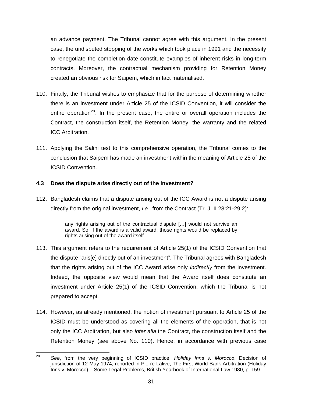<span id="page-30-0"></span>an advance payment. The Tribunal cannot agree with this argument. In the present case, the undisputed stopping of the works which took place in 1991 and the necessity to renegotiate the completion date constitute examples of inherent risks in long-term contracts. Moreover, the contractual mechanism providing for Retention Money created an obvious risk for Saipem, which in fact materialised.

- <span id="page-30-2"></span>110. Finally, the Tribunal wishes to emphasize that for the purpose of determining whether there is an investment under Article 25 of the ICSID Convention, it will consider the entire operation<sup>[28](#page-30-1)</sup>. In the present case, the entire or overall operation includes the Contract, the construction itself, the Retention Money, the warranty and the related ICC Arbitration.
- 111. Applying the Salini test to this comprehensive operation, the Tribunal comes to the conclusion that Saipem has made an investment within the meaning of Article 25 of the ICSID Convention.

## **4.3 Does the dispute arise directly out of the investment?**

112. Bangladesh claims that a dispute arising out of the ICC Award is not a dispute arising directly from the original investment, *i.e.*, from the Contract (Tr. J. II 28:21-29:2):

> any rights arising out of the contractual dispute […] would not survive an award. So, if the award is a valid award, those rights would be replaced by rights arising out of the award itself.

- 113. This argument refers to the requirement of Article 25(1) of the ICSID Convention that the dispute "aris[e] directly out of an investment". The Tribunal agrees with Bangladesh that the rights arising out of the ICC Award arise only *indirectly* from the investment. Indeed, the opposite view would mean that the Award itself does constitute an investment under Article 25(1) of the ICSID Convention, which the Tribunal is not prepared to accept.
- 114. However, as already mentioned, the notion of investment pursuant to Article 25 of the ICSID must be understood as covering all the elements of the operation, that is not only the ICC Arbitration, but also *inter alia* the Contract, the construction itself and the Retention Money (*see* above No. [110\)](#page-30-2). Hence, in accordance with previous case

<span id="page-30-1"></span><sup>28</sup> 28 *See*, from the very beginning of ICSID practice, *Holiday Inns v. Morocco*, Decision of jurisdiction of 12 May 1974, reported in Pierre Lalive, The First World Bank Arbitration (Holiday Inns v. Morocco) – Some Legal Problems, British Yearbook of International Law 1980, p. 159.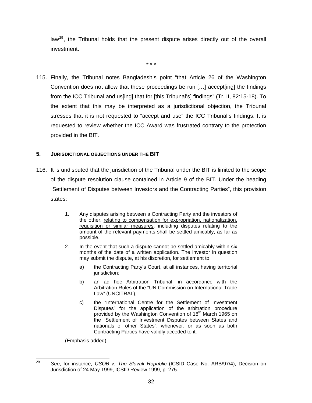<span id="page-31-0"></span> $law<sup>29</sup>$  $law<sup>29</sup>$  $law<sup>29</sup>$ , the Tribunal holds that the present dispute arises directly out of the overall investment.

\* \* \*

115. Finally, the Tribunal notes Bangladesh's point "that Article 26 of the Washington Convention does not allow that these proceedings be run […] accept[ing] the findings from the ICC Tribunal and us[ing] that for [this Tribunal's] findings" (Tr. II, 82:15-18). To the extent that this may be interpreted as a jurisdictional objection, the Tribunal stresses that it is not requested to "accept and use" the ICC Tribunal's findings. It is requested to review whether the ICC Award was frustrated contrary to the protection provided in the BIT.

## **5. JURISDICTIONAL OBJECTIONS UNDER THE BIT**

- 116. It is undisputed that the jurisdiction of the Tribunal under the BIT is limited to the scope of the dispute resolution clause contained in Article 9 of the BIT. Under the heading "Settlement of Disputes between Investors and the Contracting Parties", this provision states:
	- 1. Any disputes arising between a Contracting Party and the investors of the other, relating to compensation for expropriation, nationalization, requisition or similar measures, including disputes relating to the amount of the relevant payments shall be settled amicably, as far as possible.
	- 2. In the event that such a dispute cannot be settled amicably within six months of the date of a written application. The investor in question may submit the dispute, at his discretion, for settlement to:
		- a) the Contracting Party's Court, at all instances, having territorial jurisdiction;
		- b) an ad hoc Arbitration Tribunal, in accordance with the Arbitration Rules of the "UN Commission on International Trade Law" (UNCITRAL),
		- c) the "International Centre for the Settlement of Investment Disputes" for the application of the arbitration procedure provided by the Washington Convention of 18<sup>th</sup> March 1965 on the "Settlement of Investment Disputes between States and nationals of other States", whenever, or as soon as both Contracting Parties have validly acceded to it.

(Emphasis added)

<span id="page-31-1"></span><sup>29</sup> 29 *See*, for instance, *CSOB v. The Slovak Republic* (ICSID Case No. ARB/97/4), Decision on Jurisdiction of 24 May 1999, ICSID Review 1999, p. 275.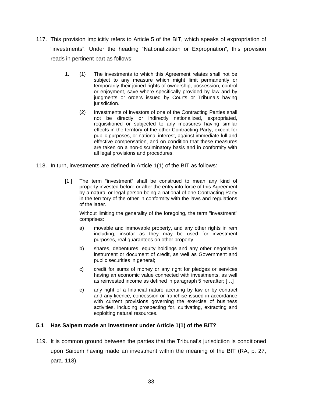- <span id="page-32-1"></span><span id="page-32-0"></span>117. This provision implicitly refers to Article 5 of the BIT, which speaks of expropriation of "investments". Under the heading "Nationalization or Expropriation", this provision reads in pertinent part as follows:
	- 1. (1) The investments to which this Agreement relates shall not be subject to any measure which might limit permanently or temporarily their joined rights of ownership, possession, control or enjoyment, save where specifically provided by law and by judgments or orders issued by Courts or Tribunals having jurisdiction.
		- (2) Investments of investors of one of the Contracting Parties shall not be directly or indirectly nationalized, expropriated, requisitioned or subjected to any measures having similar effects in the territory of the other Contracting Party, except for public purposes, or national interest, against immediate full and effective compensation, and on condition that these measures are taken on a non-discriminatory basis and in conformity with all legal provisions and procedures.
- 118. In turn, investments are defined in Article 1(1) of the BIT as follows:
	- [1.] The term "investment" shall be construed to mean any kind of property invested before or after the entry into force of this Agreement by a natural or legal person being a national of one Contracting Party in the territory of the other in conformity with the laws and regulations of the latter.

Without limiting the generality of the foregoing, the term "investment" comprises:

- a) movable and immovable property, and any other rights in rem including, insofar as they may be used for investment purposes, real guarantees on other property;
- b) shares, debentures, equity holdings and any other negotiable instrument or document of credit, as well as Government and public securities in general;
- c) credit for sums of money or any right for pledges or services having an economic value connected with investments, as well as reinvested income as defined in paragraph 5 hereafter; […]
- e) any right of a financial nature accruing by law or by contract and any licence, concession or franchise issued in accordance with current provisions governing the exercise of business activities, including prospecting for, cultivating, extracting and exploiting natural resources.

## **5.1 Has Saipem made an investment under Article 1(1) of the BIT?**

119. It is common ground between the parties that the Tribunal's jurisdiction is conditioned upon Saipem having made an investment within the meaning of the BIT (RA, p. 27, para. 118).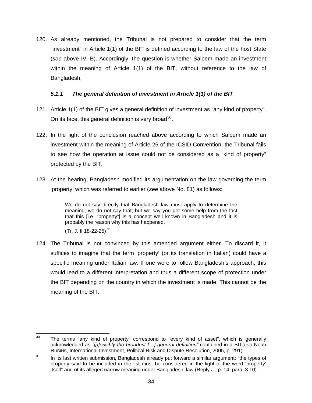<span id="page-33-0"></span>120. As already mentioned, the Tribunal is not prepared to consider that the term "investment" in Article 1(1) of the BIT is defined according to the law of the host State (*see* above IV, B). Accordingly, the question is whether Saipem made an investment within the meaning of Article 1(1) of the BIT, without reference to the law of Bangladesh.

## *5.1.1 The general definition of investment in Article 1(1) of the BIT*

- 121. Article 1(1) of the BIT gives a general definition of investment as "any kind of property". On its face, this general definition is very broad<sup>[30](#page-33-1)</sup>.
- 122. In the light of the conclusion reached above according to which Saipem made an investment within the meaning of Article 25 of the ICSID Convention, the Tribunal fails to see how the operation at issue could not be considered as a "kind of property" protected by the BIT.
- 123. At the hearing, Bangladesh modified its argumentation on the law governing the term 'property' which was referred to earlier (*see* above No. [81\)](#page-22-3) as follows:

We do not say directly that Bangladesh law must apply to determine the meaning, we do not say that; but we say you get some help from the fact that this [i.e. "property"] is a concept well known in Bangladesh and it is probably the reason why this has happened.

(Tr. J. II 18-22-25) [31](#page-33-2)

124. The Tribunal is not convinced by this amended argument either. To discard it, it suffices to imagine that the term 'property' (or its translation in Italian) could have a specific meaning under Italian law. If one were to follow Bangladesh's approach, this would lead to a different interpretation and thus a different scope of protection under the BIT depending on the country in which the investment is made. This cannot be the meaning of the BIT.

<span id="page-33-1"></span> $30<sub>o</sub>$ The terms "any kind of property" correspond to "every kind of asset", which is generally acknowledged as *"[p]ossibly the broadest […] general definition"* contained in a BIT(*see* Noah RUBINS, International Investment, Political Risk and Dispute Resolution, 2005, p. 291).

<span id="page-33-2"></span> $31$  In its last written submission, Bangladesh already put forward a similar argument: "the types of property said to be included in the list must be considered in the light of the word 'property' itself" and of its alleged narrow meaning under Bangladeshi law (Reply J., p. 14, para. 3.10).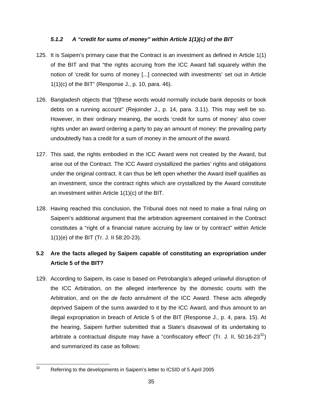## <span id="page-34-0"></span>*5.1.2 A "credit for sums of money" within Article 1(1)(c) of the BIT*

- 125. It is Saipem's primary case that the Contract is an investment as defined in Article 1(1) of the BIT and that "the rights accruing from the ICC Award fall squarely within the notion of 'credit for sums of money [...] connected with investments' set out in Article  $1(1)(c)$  of the BIT" (Response J., p. 10, para. 46).
- 126. Bangladesh objects that "[t]hese words would normally include bank deposits or book debts on a running account" (Rejoinder J., p. 14, para. 3.11). This may well be so. However, in their ordinary meaning, the words 'credit for sums of money' also cover rights under an award ordering a party to pay an amount of money: the prevailing party undoubtedly has a credit for a sum of money in the amount of the award.
- 127. This said, the rights embodied in the ICC Award were not created by the Award, but arise out of the Contract. The ICC Award crystallized the parties' rights and obligations under the original contract. It can thus be left open whether the Award itself qualifies as an investment, since the contract rights which are crystallized by the Award constitute an investment within Article 1(1)(c) of the BIT.
- 128. Having reached this conclusion, the Tribunal does not need to make a final ruling on Saipem's additional argument that the arbitration agreement contained in the Contract constitutes a "right of a financial nature accruing by law or by contract" within Article 1(1)(e) of the BIT (Tr. J. II 58:20-23).

## **5.2 Are the facts alleged by Saipem capable of constituting an expropriation under Article 5 of the BIT?**

129. According to Saipem, its case is based on Petrobangla's alleged unlawful disruption of the ICC Arbitration, on the alleged interference by the domestic courts with the Arbitration, and on the *de facto* annulment of the ICC Award. These acts allegedly deprived Saipem of the sums awarded to it by the ICC Award, and thus amount to an illegal expropriation in breach of Article 5 of the BIT (Response J., p. 4, para. 15). At the hearing, Saipem further submitted that a State's disavowal of its undertaking to arbitrate a contractual dispute may have a "confiscatory effect" (Tr. J. II,  $50:16-23^{32}$  $50:16-23^{32}$  $50:16-23^{32}$ ) and summarized its case as follows:

<span id="page-34-1"></span><sup>32</sup> 32 Referring to the developments in Saipem's letter to ICSID of 5 April 2005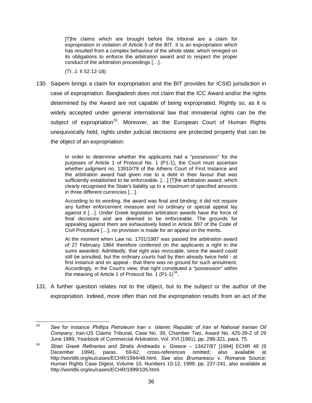[T]he claims which are brought before the tribunal are a claim for expropriation in violation of Article 5 of the BIT. It is an expropriation which has resulted from a complex behaviour of the whole state, which reneged on its obligations to enforce the arbitration award and to respect the proper conduct of the arbitration proceedings […].

(Tr. J. II 52:12-18)

130. Saipem brings a claim for expropriation and the BIT provides for ICSID jurisdiction in case of expropriation. Bangladesh does not claim that the ICC Award and/or the rights determined by the Award are not capable of being expropriated. Rightly so, as it is widely accepted under general international law that immaterial rights can be the subject of expropriation<sup>[33](#page-35-0)</sup>. Moreover, as the European Court of Human Rights unequivocally held, rights under judicial decisions are protected property that can be the object of an expropriation:

> In order to determine whether the applicants had a "possession" for the purposes of Article 1 of Protocol No. 1 (P1-1), the Court must ascertain whether judgment no. 13910/79 of the Athens Court of First Instance and the arbitration award had given rise to a debt in their favour that was sufficiently established to be enforceable. […] [T]he arbitration award, which clearly recognised the State's liability up to a maximum of specified amounts in three different currencies […].

> According to its wording, the award was final and binding; it did not require any further enforcement measure and no ordinary or special appeal lay against it […]. Under Greek legislation arbitration awards have the force of final decisions and are deemed to be enforceable. The grounds for appealing against them are exhaustively listed in Article 897 of the Code of Civil Procedure […]; no provision is made for an appeal on the merits.

> At the moment when Law no. 1701/1987 was passed the arbitration award of 27 February 1984 therefore conferred on the applicants a right in the sums awarded. Admittedly, that right was revocable, since the award could still be annulled, but the ordinary courts had by then already twice held - at first instance and on appeal - that there was no ground for such annulment. Accordingly, in the Court's view, that right constituted a "possession" within the meaning of Article 1 of Protocol No.  $1$  (P1-1)<sup>[34](#page-35-1)</sup>.

131. A further question relates not to the object, but to the subject or the author of the expropriation. Indeed, more often than not the expropriation results from an act of the

<span id="page-35-0"></span><sup>33</sup> See for instance *Phillips Petroleum Iran v. Islamic Republic of Iran et National Iranian Oil Company*, Iran-US Claims Tribunal, Case No. 39, Chamber Two, Award No. 425-39-2 of 29 June 1989, Yearbook of Commercial Arbitration, Vol. XVI (1991), pp. 298-321, para. 75.

<span id="page-35-1"></span><sup>34</sup> *Stran Greek Refineries and Stratis Andreadis v. Greece* – 13427/87 [1994] ECHR 48 (9 December 1994), paras. 59-62, cross-references omitted; also available at http://worldlii.org/eu/cases/ECHR/1994/48.html. *See* also *Brumarescu v. Romania* Source: Human Rights Case Digest, Volume 10, Numbers 10-12, 1999, pp. 237-241, also available at http://worldlii.org/eu/cases/ECHR/1999/105.html.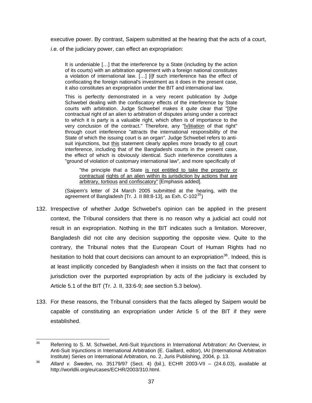executive power. By contrast, Saipem submitted at the hearing that the acts of a court, *i.e.* of the judiciary power, can effect an expropriation:

It is undeniable […] that the interference by a State (including by the action of its courts) with an arbitration agreement with a foreign national constitutes a violation of international law. […] [i]f such interference has the effect of confiscating the foreign national's investment as it does in the present case, it also constitutes an expropriation under the BIT and international law.

This is perfectly demonstrated in a very recent publication by Judge Schwebel dealing with the confiscatory effects of the interference by State courts with arbitration. Judge Schwebel makes it quite clear that "[t]he contractual right of an alien to arbitration of disputes arising under a contract to which it is party is a valuable right, which often is of importance to the very conclusion of the contract." Therefore, any "[v]itiation of that right" through court interference "attracts the international responsibility of the State of which the issuing court is an organ". Judge Schwebel refers to antisuit injunctions, but this statement clearly applies more broadly to all court interference, including that of the Bangladeshi courts in the present case, the effect of which is obviously identical. Such interference constitutes a "ground of violation of customary international law", and more specifically of

"the principle that a State is not entitled to take the property or contractual rights of an alien within its jurisdiction by actions that are arbitrary, tortious and confiscatory" [Emphasis added].

(Saipem's letter of 24 March 2005 submitted at the hearing, with the agreement of Bangladesh [Tr. J. II 88:8-13], as Exh.  $C$ -102 $^{35}$  $^{35}$  $^{35}$ )

- 132. Irrespective of whether Judge Schwebel's opinion can be applied in the present context, the Tribunal considers that there is no reason why a judicial act could not result in an expropriation. Nothing in the BIT indicates such a limitation. Moreover, Bangladesh did not cite any decision supporting the opposite view. Quite to the contrary, the Tribunal notes that the European Court of Human Rights had no hesitation to hold that court decisions can amount to an expropriation<sup>[36](#page-36-1)</sup>. Indeed, this is at least implicitly conceded by Bangladesh when it insists on the fact that consent to jurisdiction over the purported expropriation by acts of the judiciary is excluded by Article 5.1 of the BIT (Tr. J. II, 33:6-9; *see* section 5.3 below).
- 133. For these reasons, the Tribunal considers that the facts alleged by Saipem would be capable of constituting an expropriation under Article 5 of the BIT if they were established.

<span id="page-36-0"></span><sup>35</sup> Referring to S. M. Schwebel, Anti-Suit Injunctions in International Arbitration: An Overview, in Anti-Suit Injunctions in International Arbitration (E. Gaillard, editor), IAI (International Arbitration Institute) Series on International Arbitration, no. 2, Juris Publishing, 2004, p. 13.

<span id="page-36-1"></span><sup>36</sup> *Allard v. Sweden*, no. 35179/97 (Sect. 4) (bil.), ECHR 2003-VII – (24.6.03), available at http://worldlii.org/eu/cases/ECHR/2003/310.html.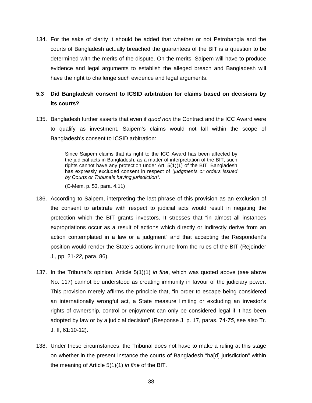<span id="page-37-0"></span>134. For the sake of clarity it should be added that whether or not Petrobangla and the courts of Bangladesh actually breached the guarantees of the BIT is a question to be determined with the merits of the dispute. On the merits, Saipem will have to produce evidence and legal arguments to establish the alleged breach and Bangladesh will have the right to challenge such evidence and legal arguments.

## **5.3 Did Bangladesh consent to ICSID arbitration for claims based on decisions by its courts?**

135. Bangladesh further asserts that even if *quod non* the Contract and the ICC Award were to qualify as investment, Saipem's claims would not fall within the scope of Bangladesh's consent to ICSID arbitration:

> Since Saipem claims that its right to the ICC Award has been affected by the judicial acts in Bangladesh, as a matter of interpretation of the BIT, such rights cannot have any protection under Art. 5(1)(1) of the BIT. Bangladesh has expressly excluded consent in respect of *"judgments or orders issued by Courts or Tribunals having jurisdiction".*

(C-Mem, p. 53, para. 4.11)

- 136. According to Saipem, interpreting the last phrase of this provision as an exclusion of the consent to arbitrate with respect to judicial acts would result in negating the protection which the BIT grants investors. It stresses that "in almost all instances expropriations occur as a result of actions which directly or indirectly derive from an action contemplated in a law or a judgment" and that accepting the Respondent's position would render the State's actions immune from the rules of the BIT (Rejoinder J., pp. 21-*22*, para. 86).
- 137. In the Tribunal's opinion, Article 5(1)(1) *in fine*, which was quoted above (*see* above No. [117\)](#page-32-1) cannot be understood as creating immunity in favour of the judiciary power. This provision merely affirms the principle that, "in order to escape being considered an internationally wrongful act, a State measure limiting or excluding an investor's rights of ownership, control or enjoyment can only be considered legal if it has been adopted by law or by a judicial decision" (Response J. p. 17, paras. 74-*75*, see also Tr. J. II, 61:10-12).
- 138. Under these circumstances, the Tribunal does not have to make a ruling at this stage on whether in the present instance the courts of Bangladesh "ha[d] jurisdiction" within the meaning of Article 5(1)(1) *in fine* of the BIT.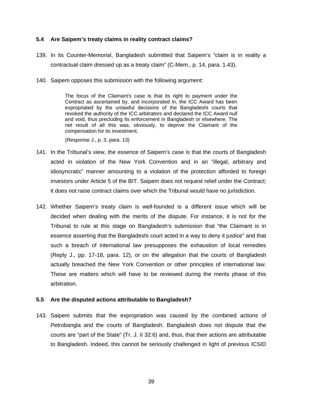### <span id="page-38-0"></span>**5.4 Are Saipem's treaty claims in reality contract claims?**

- 139. In its Counter-Memorial, Bangladesh submitted that Saipem's "claim is in reality a contractual claim dressed up as a treaty claim" (C-Mem., p. 14, para. 1.43).
- 140. Saipem opposes this submission with the following argument:

The focus of the Claimant's case is that its right to payment under the Contract as ascertained by, and incorporated in, the ICC Award has been expropriated by the unlawful decisions of the Bangladeshi courts that revoked the authority of the ICC arbitrators and declared the ICC Award null and void, thus precluding its enforcement in Bangladesh or elsewhere. The net result of all this was, obviously, to deprive the Claimant of the compensation for its investment.

(Response J., p. 3, para. 13)

- 141. In the Tribunal's view, the essence of Saipem's case is that the courts of Bangladesh acted in violation of the New York Convention and in an "illegal, arbitrary and idiosyncratic" manner amounting to a violation of the protection afforded to foreign investors under Article 5 of the BIT. Saipem does not request relief under the Contract; it does not raise contract claims over which the Tribunal would have no jurisdiction.
- 142. Whether Saipem's treaty claim is well-founded is a different issue which will be decided when dealing with the merits of the dispute. For instance, it is not for the Tribunal to rule at this stage on Bangladesh's submission that "the Claimant is in essence asserting that the Bangladeshi court acted in a way to deny it justice" and that such a breach of international law presupposes the exhaustion of local remedies (Reply J., pp. 17-18, para. 12), or on the allegation that the courts of Bangladesh actually breached the New York Convention or other principles of international law. These are matters which will have to be reviewed during the merits phase of this arbitration.

#### **5.5 Are the disputed actions attributable to Bangladesh?**

143. Saipem submits that the expropriation was caused by the combined actions of Petrobangla and the courts of Bangladesh. Bangladesh does not dispute that the courts are "part of the State" (Tr. J. II 32:6) and, thus, that their actions are attributable to Bangladesh. Indeed, this cannot be seriously challenged in light of previous ICSID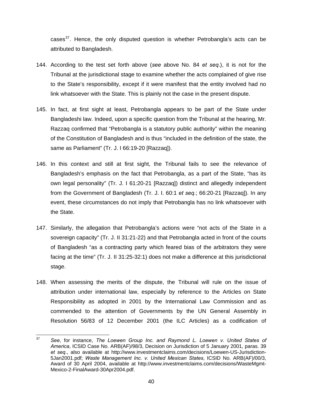cases $37$ . Hence, the only disputed question is whether Petrobangla's acts can be attributed to Bangladesh.

- 144. According to the test set forth above (*see* above No. [84](#page-23-5) *et seq*.), it is not for the Tribunal at the jurisdictional stage to examine whether the acts complained of give rise to the State's responsibility, except if it were manifest that the entity involved had no link whatsoever with the State. This is plainly not the case in the present dispute.
- 145. In fact, at first sight at least, Petrobangla appears to be part of the State under Bangladeshi law. Indeed, upon a specific question from the Tribunal at the hearing, Mr. Razzaq confirmed that "Petrobangla is a statutory public authority" within the meaning of the Constitution of Bangladesh and is thus "included in the definition of the state, the same as Parliament" (Tr. J. I 66:19-20 [Razzaq]).
- 146. In this context and still at first sight, the Tribunal fails to see the relevance of Bangladesh's emphasis on the fact that Petrobangla, as a part of the State, "has its own legal personality" (Tr. J. I 61:20-21 [Razzaq]) distinct and allegedly independent from the Government of Bangladesh (Tr. J. I. 60:1 *et seq*.; 66:20-21 [Razzaq]). In any event, these circumstances do not imply that Petrobangla has no link whatsoever with the State.
- 147. Similarly, the allegation that Petrobangla's actions were "not acts of the State in a sovereign capacity" (Tr. J. II 31:21-22) and that Petrobangla acted in front of the courts of Bangladesh "as a contracting party which feared bias of the arbitrators they were facing at the time" (Tr. J. II 31:25-32:1) does not make a difference at this jurisdictional stage.
- 148. When assessing the merits of the dispute, the Tribunal will rule on the issue of attribution under international law, especially by reference to the Articles on State Responsibility as adopted in 2001 by the International Law Commission and as commended to the attention of Governments by the UN General Assembly in Resolution 56/83 of 12 December 2001 (the ILC Articles) as a codification of

<span id="page-39-0"></span> $37$ 37 *See*, for instance, *The Loewen Group Inc. and Raymond L. Loewen v. United States of America*, ICSID Case No. ARB(AF)/98/3, Decision on Jurisdiction of 5 January 2001, paras. 39 *et seq*., also available at http://www.investmentclaims.com/decisions/Loewen-US-Jurisdiction-5Jan2001.pdf; *Waste Management Inc. v. United Mexican States*, ICSID No. ARB(AF)/00/3, Award of 30 April 2004, available at http://www.investmentclaims.com/decisions/WasteMgmt-Mexico-2-FinalAward-30Apr2004.pdf.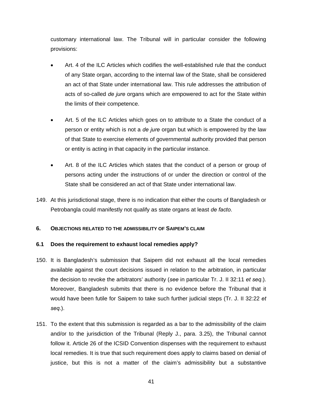<span id="page-40-0"></span>customary international law. The Tribunal will in particular consider the following provisions:

- Art. 4 of the ILC Articles which codifies the well-established rule that the conduct of any State organ, according to the internal law of the State, shall be considered an act of that State under international law. This rule addresses the attribution of acts of so-called *de jure* organs which are empowered to act for the State within the limits of their competence.
- Art. 5 of the ILC Articles which goes on to attribute to a State the conduct of a person or entity which is not a *de jure* organ but which is empowered by the law of that State to exercise elements of governmental authority provided that person or entity is acting in that capacity in the particular instance.
- Art. 8 of the ILC Articles which states that the conduct of a person or group of persons acting under the instructions of or under the direction or control of the State shall be considered an act of that State under international law.
- 149. At this jurisdictional stage, there is no indication that either the courts of Bangladesh or Petrobangla could manifestly not qualify as state organs at least *de facto*.

#### **6. OBJECTIONS RELATED TO THE ADMISSIBILITY OF SAIPEM'S CLAIM**

#### **6.1 Does the requirement to exhaust local remedies apply?**

- 150. It is Bangladesh's submission that Saipem did not exhaust all the local remedies available against the court decisions issued in relation to the arbitration, in particular the decision to revoke the arbitrators' authority (*see* in particular Tr. J. II 32:11 *et seq*.). Moreover, Bangladesh submits that there is no evidence before the Tribunal that it would have been futile for Saipem to take such further judicial steps (Tr. J. II 32:22 *et seq*.).
- 151. To the extent that this submission is regarded as a bar to the admissibility of the claim and/or to the jurisdiction of the Tribunal (Reply J., para. 3.25), the Tribunal cannot follow it. Article 26 of the ICSID Convention dispenses with the requirement to exhaust local remedies. It is true that such requirement does apply to claims based on denial of justice, but this is not a matter of the claim's admissibility but a substantive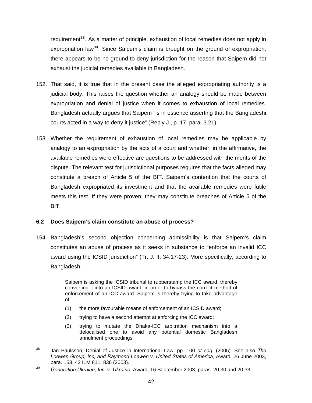<span id="page-41-0"></span>requirement<sup>[38](#page-41-1)</sup>. As a matter of principle, exhaustion of local remedies does not apply in expropriation law<sup>[39](#page-41-2)</sup>. Since Saipem's claim is brought on the ground of expropriation, there appears to be no ground to deny jurisdiction for the reason that Saipem did not exhaust the judicial remedies available in Bangladesh.

- 152. That said, it is true that in the present case the alleged expropriating authority is a judicial body. This raises the question whether an analogy should be made between expropriation and denial of justice when it comes to exhaustion of local remedies. Bangladesh actually argues that Saipem "is in essence asserting that the Bangladeshi courts acted in a way to deny it justice" (Reply J., p. 17, para. 3.21).
- 153. Whether the requirement of exhaustion of local remedies may be applicable by analogy to an expropriation by the acts of a court and whether, in the affirmative, the available remedies were effective are questions to be addressed with the merits of the dispute. The relevant test for jurisdictional purposes requires that the facts alleged may constitute a breach of Article 5 of the BIT. Saipem's contention that the courts of Bangladesh expropriated its investment and that the available remedies were futile meets this test. If they were proven, they may constitute breaches of Article 5 of the BIT.

## **6.2 Does Saipem's claim constitute an abuse of process?**

154. Bangladesh's second objection concerning admissibility is that Saipem's claim constitutes an abuse of process as it seeks in substance to "enforce an invalid ICC award using the ICSID jurisdiction" (Tr. J. II, 34:17-23). More specifically, according to Bangladesh:

> Saipem is asking the ICSID tribunal to rubberstamp the ICC award, thereby converting it into an ICSID award, in order to bypass the correct method of enforcement of an ICC award. Saipem is thereby trying to take advantage of:

- (1) the more favourable means of enforcement of an ICSID award;
- (2) trying to have a second attempt at enforcing the ICC award;
- (3) trying to mutate the Dhaka-ICC arbitration mechanism into a delocalised one to avoid any potential domestic Bangladesh annulment proceedings.

<span id="page-41-1"></span><sup>38</sup> 38 Jan Paulsson, Denial of Justice in International Law, pp. 100 *et seq*. (2005). See also *The Loewen Group, Inc, and Raymond Loewen* v*. United States of America*, Award, 26 June 2003, para. 153, 42 ILM 811, 836 (2003).

<span id="page-41-2"></span><sup>39</sup> *Generation Ukraine, Inc*. v. *Ukraine*, Award, 16 September 2003, paras. 20.30 and 20.33.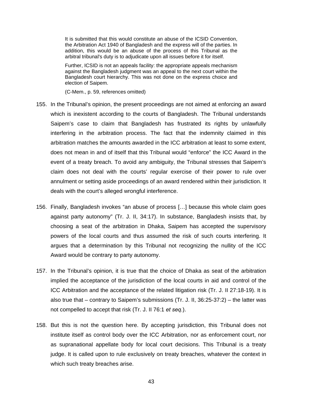It is submitted that this would constitute an abuse of the ICSID Convention, the Arbitration Act 1940 of Bangladesh and the express will of the parties. In addition, this would be an abuse of the process of this Tribunal as the arbitral tribunal's duty is to adjudicate upon all issues before it for itself.

Further, ICSID is not an appeals facility: the appropriate appeals mechanism against the Bangladesh judgment was an appeal to the next court within the Bangladesh court hierarchy. This was not done on the express choice and election of Saipem.

(C-Mem., p. 59, references omitted)

- 155. In the Tribunal's opinion, the present proceedings are not aimed at enforcing an award which is inexistent according to the courts of Bangladesh. The Tribunal understands Saipem's case to claim that Bangladesh has frustrated its rights by unlawfully interfering in the arbitration process. The fact that the indemnity claimed in this arbitration matches the amounts awarded in the ICC arbitration at least to some extent, does not mean in and of itself that this Tribunal would "enforce" the ICC Award in the event of a treaty breach. To avoid any ambiguity, the Tribunal stresses that Saipem's claim does not deal with the courts' regular exercise of their power to rule over annulment or setting aside proceedings of an award rendered within their jurisdiction. It deals with the court's alleged wrongful interference.
- 156. Finally, Bangladesh invokes "an abuse of process […] because this whole claim goes against party autonomy" (Tr. J. II, 34:17). In substance, Bangladesh insists that, by choosing a seat of the arbitration in Dhaka, Saipem has accepted the supervisory powers of the local courts and thus assumed the risk of such courts interfering. It argues that a determination by this Tribunal not recognizing the nullity of the ICC Award would be contrary to party autonomy.
- 157. In the Tribunal's opinion, it is true that the choice of Dhaka as seat of the arbitration implied the acceptance of the jurisdiction of the local courts in aid and control of the ICC Arbitration and the acceptance of the related litigation risk (Tr. J. II 27:18-19). It is also true that – contrary to Saipem's submissions (Tr. J. II, 36:25-37:2) – the latter was not compelled to accept that risk (Tr. J. II 76:1 *et seq.*).
- 158. But this is not the question here. By accepting jurisdiction, this Tribunal does not institute itself as control body over the ICC Arbitration, nor as enforcement court, nor as supranational appellate body for local court decisions. This Tribunal is a treaty judge. It is called upon to rule exclusively on treaty breaches, whatever the context in which such treaty breaches arise.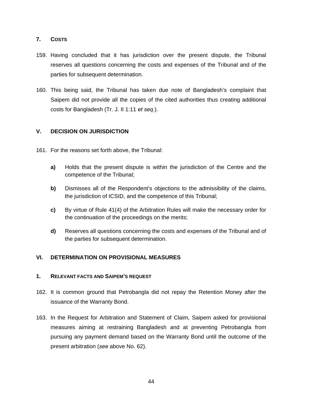## <span id="page-43-0"></span>**7. COSTS**

- 159. Having concluded that it has jurisdiction over the present dispute, the Tribunal reserves all questions concerning the costs and expenses of the Tribunal and of the parties for subsequent determination.
- 160. This being said, the Tribunal has taken due note of Bangladesh's complaint that Saipem did not provide all the copies of the cited authorities thus creating additional costs for Bangladesh (Tr. J. II 1:11 *et seq*.).

## **V. DECISION ON JURISDICTION**

- 161. For the reasons set forth above, the Tribunal:
	- **a)** Holds that the present dispute is within the jurisdiction of the Centre and the competence of the Tribunal;
	- **b)** Dismisses all of the Respondent's objections to the admissibility of the claims, the jurisdiction of ICSID, and the competence of this Tribunal;
	- **c)** By virtue of Rule 41(4) of the Arbitration Rules will make the necessary order for the continuation of the proceedings on the merits;
	- **d)** Reserves all questions concerning the costs and expenses of the Tribunal and of the parties for subsequent determination.

## **VI. DETERMINATION ON PROVISIONAL MEASURES**

## **1. RELEVANT FACTS AND SAIPEM'S REQUEST**

- 162. It is common ground that Petrobangla did not repay the Retention Money after the issuance of the Warranty Bond.
- 163. In the Request for Arbitration and Statement of Claim, Saipem asked for provisional measures aiming at restraining Bangladesh and at preventing Petrobangla from pursuing any payment demand based on the Warranty Bond until the outcome of the present arbitration (*see* above No. [62\)](#page-17-2).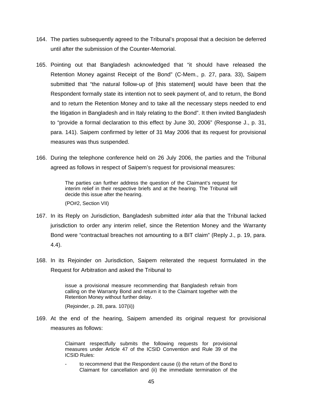- 164. The parties subsequently agreed to the Tribunal's proposal that a decision be deferred until after the submission of the Counter-Memorial.
- 165. Pointing out that Bangladesh acknowledged that "it should have released the Retention Money against Receipt of the Bond" (C-Mem., p. 27, para. 33), Saipem submitted that "the natural follow-up of [this statement] would have been that the Respondent formally state its intention not to seek payment of, and to return, the Bond and to return the Retention Money and to take all the necessary steps needed to end the litigation in Bangladesh and in Italy relating to the Bond". It then invited Bangladesh to "provide a formal declaration to this effect by June 30, 2006" (Response J., p. 31, para. 141). Saipem confirmed by letter of 31 May 2006 that its request for provisional measures was thus suspended.
- 166. During the telephone conference held on 26 July 2006, the parties and the Tribunal agreed as follows in respect of Saipem's request for provisional measures:

The parties can further address the question of the Claimant's request for interim relief in their respective briefs and at the hearing. The Tribunal will decide this issue after the hearing.

(PO#2, Section VII)

- 167. In its Reply on Jurisdiction, Bangladesh submitted *inter alia* that the Tribunal lacked jurisdiction to order any interim relief, since the Retention Money and the Warranty Bond were "contractual breaches not amounting to a BIT claim" (Reply J., p. 19, para. 4.4).
- 168. In its Rejoinder on Jurisdiction, Saipem reiterated the request formulated in the Request for Arbitration and asked the Tribunal to

issue a provisional measure recommending that Bangladesh refrain from calling on the Warranty Bond and return it to the Claimant together with the Retention Money without further delay.

(Rejoinder, p. 28, para. 107(ii))

169. At the end of the hearing, Saipem amended its original request for provisional measures as follows:

> Claimant respectfully submits the following requests for provisional measures under Article 47 of the ICSID Convention and Rule 39 of the ICSID Rules:

> to recommend that the Respondent cause (i) the return of the Bond to Claimant for cancellation and (ii) the immediate termination of the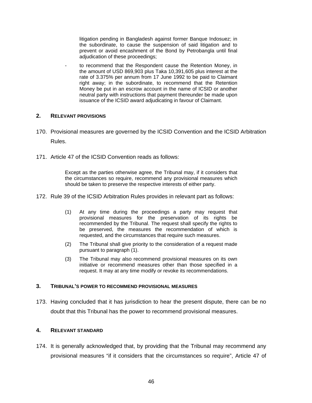<span id="page-45-0"></span>litigation pending in Bangladesh against former Banque Indosuez; in the subordinate, to cause the suspension of said litigation and to prevent or avoid encashment of the Bond by Petrobangla until final adiudication of these proceedings;

to recommend that the Respondent cause the Retention Money, in the amount of USD 869,903 plus Taka 10,391,605 plus interest at the rate of 3.375% per annum from 17 June 1992 to be paid to Claimant right away; in the subordinate, to recommend that the Retention Money be put in an escrow account in the name of ICSID or another neutral party with instructions that payment thereunder be made upon issuance of the ICSID award adjudicating in favour of Claimant.

#### **2. RELEVANT PROVISIONS**

- 170. Provisional measures are governed by the ICSID Convention and the ICSID Arbitration Rules.
- 171. Article 47 of the ICSID Convention reads as follows:

Except as the parties otherwise agree, the Tribunal may, if it considers that the circumstances so require, recommend any provisional measures which should be taken to preserve the respective interests of either party.

- 172. Rule 39 of the ICSID Arbitration Rules provides in relevant part as follows:
	- (1) At any time during the proceedings a party may request that provisional measures for the preservation of its rights be recommended by the Tribunal. The request shall specify the rights to be preserved, the measures the recommendation of which is requested, and the circumstances that require such measures.
	- (2) The Tribunal shall give priority to the consideration of a request made pursuant to paragraph (1).
	- (3) The Tribunal may also recommend provisional measures on its own initiative or recommend measures other than those specified in a request. It may at any time modify or revoke its recommendations.

#### **3. TRIBUNAL'S POWER TO RECOMMEND PROVISIONAL MEASURES**

173. Having concluded that it has jurisdiction to hear the present dispute, there can be no doubt that this Tribunal has the power to recommend provisional measures.

#### **4. RELEVANT STANDARD**

174. It is generally acknowledged that, by providing that the Tribunal may recommend any provisional measures "if it considers that the circumstances so require", Article 47 of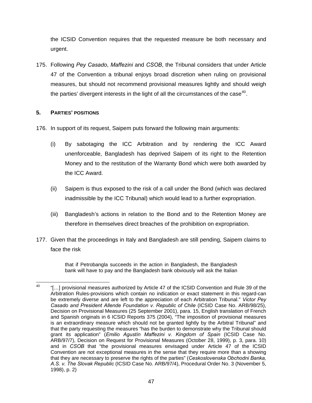<span id="page-46-0"></span>the ICSID Convention requires that the requested measure be both necessary and urgent.

175. Following *Pey Casado*, *Maffezini* and *CSOB*, the Tribunal considers that under Article 47 of the Convention a tribunal enjoys broad discretion when ruling on provisional measures, but should not recommend provisional measures lightly and should weigh the parties' divergent interests in the light of all the circumstances of the case<sup>[40](#page-46-1)</sup>.

## **5. PARTIES' POSITIONS**

- 176. In support of its request, Saipem puts forward the following main arguments:
	- (i) By sabotaging the ICC Arbitration and by rendering the ICC Award unenforceable, Bangladesh has deprived Saipem of its right to the Retention Money and to the restitution of the Warranty Bond which were both awarded by the ICC Award.
	- (ii) Saipem is thus exposed to the risk of a call under the Bond (which was declared inadmissible by the ICC Tribunal) which would lead to a further expropriation.
	- (iii) Bangladesh's actions in relation to the Bond and to the Retention Money are therefore in themselves direct breaches of the prohibition on expropriation.
- 177. Given that the proceedings in Italy and Bangladesh are still pending, Saipem claims to face the risk

that if Petrobangla succeeds in the action in Bangladesh, the Bangladesh bank will have to pay and the Bangladesh bank obviously will ask the Italian

<span id="page-46-1"></span><sup>40</sup> 40 "[…] provisional measures authorized by Article 47 of the ICSID Convention and Rule 39 of the Arbitration Rules-provisions which contain no indication or exact statement in this regard-can be extremely diverse and are left to the appreciation of each Arbitration Tribunal." *Victor Pey Casado and President Allende Foundation v. Republic of Chile* (ICSID Case No. ARB/98/25), Decision on Provisional Measures (25 September 2001), para. 15, English translation of French and Spanish originals in 6 ICSID Reports 375 (2004), "The imposition of provisional measures is an extraordinary measure which should not be granted lightly by the Arbitral Tribunal" and that the party requesting the measures "has the burden to demonstrate why the Tribunal should grant its application" (*Emilio Agustín Maffezini v. Kingdom of Spain* (ICSID Case No. ARB/97/7), Decision on Request for Provisional Measures (October 28, 1999), p. 3, para. 10) and in *CSOB* that "the provisional measures envisaged under Article 47 of the ICSID Convention are not exceptional measures in the sense that they require more than a showing that they are necessary to preserve the rights of the parties" (*Ceskoslovenska Obchodni Banka, A.S. v. The Slovak Republic* (ICSID Case No. ARB/97/4), Procedural Order No. 3 (November 5, 1998), p. 2)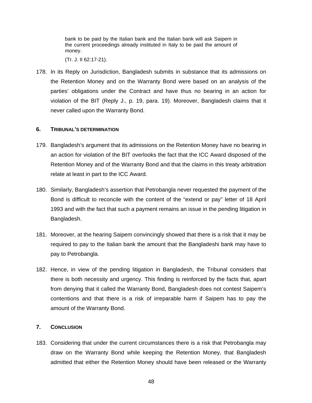<span id="page-47-0"></span>bank to be paid by the Italian bank and the Italian bank will ask Saipem in the current proceedings already instituted in Italy to be paid the amount of money.

(Tr. J. II 62:17-21).

178. In its Reply on Jurisdiction, Bangladesh submits in substance that its admissions on the Retention Money and on the Warranty Bond were based on an analysis of the parties' obligations under the Contract and have thus no bearing in an action for violation of the BIT (Reply J., p. 19, para. 19). Moreover, Bangladesh claims that it never called upon the Warranty Bond.

### **6. TRIBUNAL'S DETERMINATION**

- 179. Bangladesh's argument that its admissions on the Retention Money have no bearing in an action for violation of the BIT overlooks the fact that the ICC Award disposed of the Retention Money and of the Warranty Bond and that the claims in this treaty arbitration relate at least in part to the ICC Award.
- 180. Similarly, Bangladesh's assertion that Petrobangla never requested the payment of the Bond is difficult to reconcile with the content of the "extend or pay" letter of 18 April 1993 and with the fact that such a payment remains an issue in the pending litigation in Bangladesh.
- 181. Moreover, at the hearing Saipem convincingly showed that there is a risk that it may be required to pay to the Italian bank the amount that the Bangladeshi bank may have to pay to Petrobangla.
- 182. Hence, in view of the pending litigation in Bangladesh, the Tribunal considers that there is both necessity and urgency. This finding is reinforced by the facts that, apart from denying that it called the Warranty Bond, Bangladesh does not contest Saipem's contentions and that there is a risk of irreparable harm if Saipem has to pay the amount of the Warranty Bond.

## **7. CONCLUSION**

183. Considering that under the current circumstances there is a risk that Petrobangla may draw on the Warranty Bond while keeping the Retention Money, that Bangladesh admitted that either the Retention Money should have been released or the Warranty